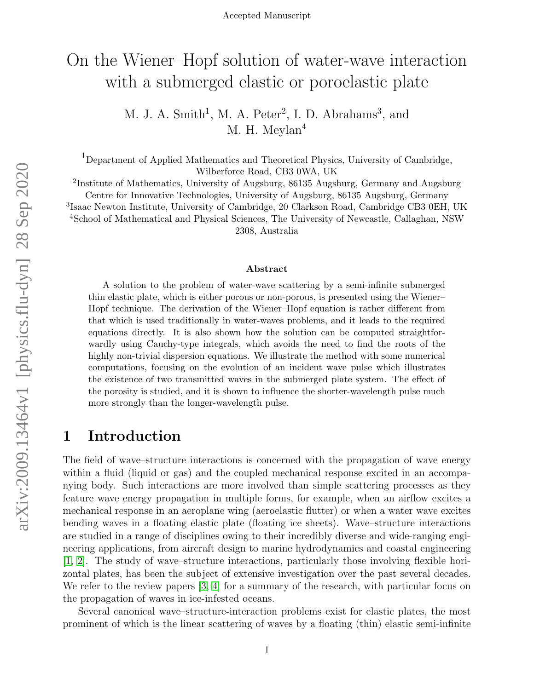# On the Wiener–Hopf solution of water-wave interaction with a submerged elastic or poroelastic plate

M. J. A. Smith<sup>1</sup>, M. A. Peter<sup>2</sup>, I. D. Abrahams<sup>3</sup>, and M. H. Meylan<sup>4</sup>

<sup>1</sup>Department of Applied Mathematics and Theoretical Physics, University of Cambridge, Wilberforce Road, CB3 0WA, UK

<sup>2</sup>Institute of Mathematics, University of Augsburg, 86135 Augsburg, Germany and Augsburg Centre for Innovative Technologies, University of Augsburg, 86135 Augsburg, Germany 3 Isaac Newton Institute, University of Cambridge, 20 Clarkson Road, Cambridge CB3 0EH, UK <sup>4</sup>School of Mathematical and Physical Sciences, The University of Newcastle, Callaghan, NSW 2308, Australia

#### Abstract

A solution to the problem of water-wave scattering by a semi-infinite submerged thin elastic plate, which is either porous or non-porous, is presented using the Wiener– Hopf technique. The derivation of the Wiener–Hopf equation is rather different from that which is used traditionally in water-waves problems, and it leads to the required equations directly. It is also shown how the solution can be computed straightforwardly using Cauchy-type integrals, which avoids the need to find the roots of the highly non-trivial dispersion equations. We illustrate the method with some numerical computations, focusing on the evolution of an incident wave pulse which illustrates the existence of two transmitted waves in the submerged plate system. The effect of the porosity is studied, and it is shown to influence the shorter-wavelength pulse much more strongly than the longer-wavelength pulse.

### 1 Introduction

The field of wave–structure interactions is concerned with the propagation of wave energy within a fluid (liquid or gas) and the coupled mechanical response excited in an accompanying body. Such interactions are more involved than simple scattering processes as they feature wave energy propagation in multiple forms, for example, when an airflow excites a mechanical response in an aeroplane wing (aeroelastic flutter) or when a water wave excites bending waves in a floating elastic plate (floating ice sheets). Wave–structure interactions are studied in a range of disciplines owing to their incredibly diverse and wide-ranging engineering applications, from aircraft design to marine hydrodynamics and coastal engineering [\[1,](#page-22-0) [2\]](#page-22-1). The study of wave–structure interactions, particularly those involving flexible horizontal plates, has been the subject of extensive investigation over the past several decades. We refer to the review papers [\[3,](#page-22-2) [4\]](#page-22-3) for a summary of the research, with particular focus on the propagation of waves in ice-infested oceans.

Several canonical wave–structure-interaction problems exist for elastic plates, the most prominent of which is the linear scattering of waves by a floating (thin) elastic semi-infinite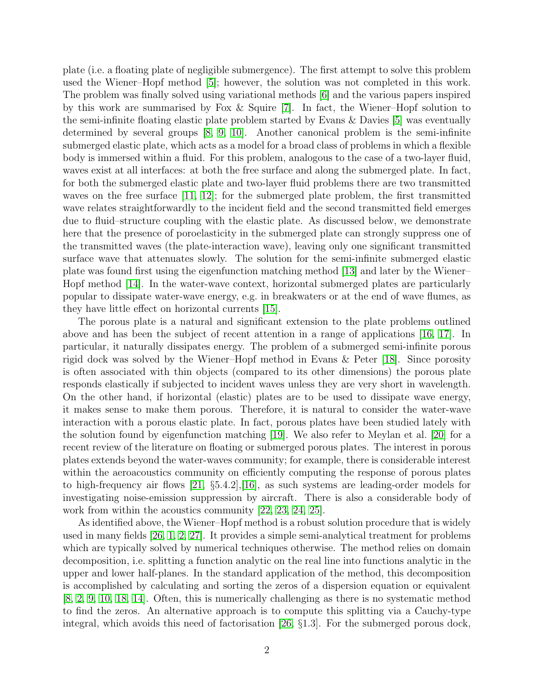plate (i.e. a floating plate of negligible submergence). The first attempt to solve this problem used the Wiener–Hopf method [\[5\]](#page-22-4); however, the solution was not completed in this work. The problem was finally solved using variational methods [\[6\]](#page-22-5) and the various papers inspired by this work are summarised by Fox & Squire [\[7\]](#page-22-6). In fact, the Wiener–Hopf solution to the semi-infinite floating elastic plate problem started by Evans & Davies [\[5\]](#page-22-4) was eventually determined by several groups  $(8, 9, 10)$  $(8, 9, 10)$  $(8, 9, 10)$ . Another canonical problem is the semi-infinite submerged elastic plate, which acts as a model for a broad class of problems in which a flexible body is immersed within a fluid. For this problem, analogous to the case of a two-layer fluid, waves exist at all interfaces: at both the free surface and along the submerged plate. In fact, for both the submerged elastic plate and two-layer fluid problems there are two transmitted waves on the free surface [\[11,](#page-23-1) [12\]](#page-23-2); for the submerged plate problem, the first transmitted wave relates straightforwardly to the incident field and the second transmitted field emerges due to fluid–structure coupling with the elastic plate. As discussed below, we demonstrate here that the presence of poroelasticity in the submerged plate can strongly suppress one of the transmitted waves (the plate-interaction wave), leaving only one significant transmitted surface wave that attenuates slowly. The solution for the semi-infinite submerged elastic plate was found first using the eigenfunction matching method [\[13\]](#page-23-3) and later by the Wiener– Hopf method [\[14\]](#page-23-4). In the water-wave context, horizontal submerged plates are particularly popular to dissipate water-wave energy, e.g. in breakwaters or at the end of wave flumes, as they have little effect on horizontal currents [\[15\]](#page-23-5).

The porous plate is a natural and significant extension to the plate problems outlined above and has been the subject of recent attention in a range of applications [\[16,](#page-23-6) [17\]](#page-23-7). In particular, it naturally dissipates energy. The problem of a submerged semi-infinite porous rigid dock was solved by the Wiener–Hopf method in Evans & Peter [\[18\]](#page-23-8). Since porosity is often associated with thin objects (compared to its other dimensions) the porous plate responds elastically if subjected to incident waves unless they are very short in wavelength. On the other hand, if horizontal (elastic) plates are to be used to dissipate wave energy, it makes sense to make them porous. Therefore, it is natural to consider the water-wave interaction with a porous elastic plate. In fact, porous plates have been studied lately with the solution found by eigenfunction matching [\[19\]](#page-23-9). We also refer to Meylan et al. [\[20\]](#page-23-10) for a recent review of the literature on floating or submerged porous plates. The interest in porous plates extends beyond the water-waves community; for example, there is considerable interest within the aeroacoustics community on efficiently computing the response of porous plates to high-frequency air flows [\[21,](#page-23-11) §5.4.2],[\[16\]](#page-23-6), as such systems are leading-order models for investigating noise-emission suppression by aircraft. There is also a considerable body of work from within the acoustics community [\[22,](#page-23-12) [23,](#page-23-13) [24,](#page-23-14) [25\]](#page-23-15).

As identified above, the Wiener–Hopf method is a robust solution procedure that is widely used in many fields [\[26,](#page-24-0) [1,](#page-22-0) [2,](#page-22-1) [27\]](#page-24-1). It provides a simple semi-analytical treatment for problems which are typically solved by numerical techniques otherwise. The method relies on domain decomposition, i.e. splitting a function analytic on the real line into functions analytic in the upper and lower half-planes. In the standard application of the method, this decomposition is accomplished by calculating and sorting the zeros of a dispersion equation or equivalent [\[8,](#page-22-7) [2,](#page-22-1) [9,](#page-22-8) [10,](#page-23-0) [18,](#page-23-8) [14\]](#page-23-4). Often, this is numerically challenging as there is no systematic method to find the zeros. An alternative approach is to compute this splitting via a Cauchy-type integral, which avoids this need of factorisation [\[26,](#page-24-0) §1.3]. For the submerged porous dock,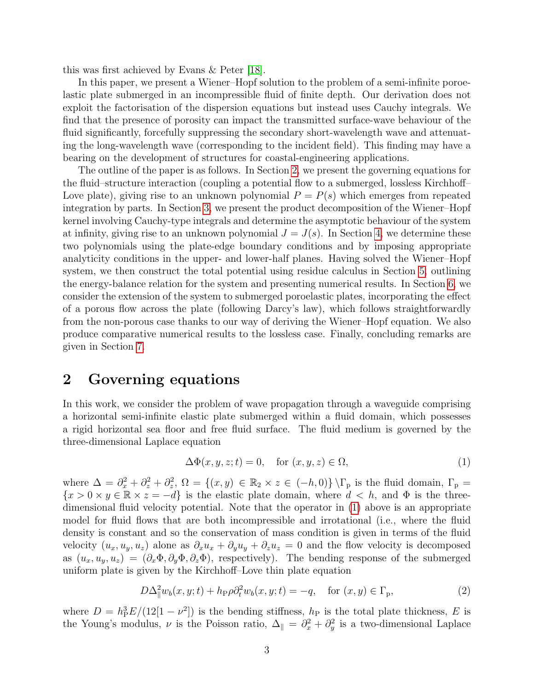this was first achieved by Evans & Peter [\[18\]](#page-23-8).

In this paper, we present a Wiener–Hopf solution to the problem of a semi-infinite poroelastic plate submerged in an incompressible fluid of finite depth. Our derivation does not exploit the factorisation of the dispersion equations but instead uses Cauchy integrals. We find that the presence of porosity can impact the transmitted surface-wave behaviour of the fluid significantly, forcefully suppressing the secondary short-wavelength wave and attenuating the long-wavelength wave (corresponding to the incident field). This finding may have a bearing on the development of structures for coastal-engineering applications.

The outline of the paper is as follows. In Section [2,](#page-2-0) we present the governing equations for the fluid–structure interaction (coupling a potential flow to a submerged, lossless Kirchhoff– Love plate), giving rise to an unknown polynomial  $P = P(s)$  which emerges from repeated integration by parts. In Section [3,](#page-8-0) we present the product decomposition of the Wiener–Hopf kernel involving Cauchy-type integrals and determine the asymptotic behaviour of the system at infinity, giving rise to an unknown polynomial  $J = J(s)$ . In Section [4,](#page-10-0) we determine these two polynomials using the plate-edge boundary conditions and by imposing appropriate analyticity conditions in the upper- and lower-half planes. Having solved the Wiener–Hopf system, we then construct the total potential using residue calculus in Section [5,](#page-11-0) outlining the energy-balance relation for the system and presenting numerical results. In Section [6,](#page-15-0) we consider the extension of the system to submerged poroelastic plates, incorporating the effect of a porous flow across the plate (following Darcy's law), which follows straightforwardly from the non-porous case thanks to our way of deriving the Wiener–Hopf equation. We also produce comparative numerical results to the lossless case. Finally, concluding remarks are given in Section [7.](#page-22-9)

## <span id="page-2-0"></span>2 Governing equations

In this work, we consider the problem of wave propagation through a waveguide comprising a horizontal semi-infinite elastic plate submerged within a fluid domain, which possesses a rigid horizontal sea floor and free fluid surface. The fluid medium is governed by the three-dimensional Laplace equation

<span id="page-2-1"></span>
$$
\Delta\Phi(x, y, z; t) = 0, \quad \text{for } (x, y, z) \in \Omega,
$$
\n
$$
(1)
$$

where  $\Delta = \partial_x^2 + \partial_z^2 + \partial_z^2$ ,  $\Omega = \{(x, y) \in \mathbb{R}_2 \times z \in (-h, 0)\} \setminus \Gamma_p$  is the fluid domain,  $\Gamma_p =$  ${x > 0 \times y \in \mathbb{R} \times z = -d}$  is the elastic plate domain, where  $d < h$ , and  $\Phi$  is the threedimensional fluid velocity potential. Note that the operator in [\(1\)](#page-2-1) above is an appropriate model for fluid flows that are both incompressible and irrotational (i.e., where the fluid density is constant and so the conservation of mass condition is given in terms of the fluid velocity  $(u_x, u_y, u_z)$  alone as  $\partial_x u_x + \partial_y u_y + \partial_z u_z = 0$  and the flow velocity is decomposed as  $(u_x, u_y, u_z) = (\partial_x \Phi, \partial_y \Phi, \partial_z \Phi)$ , respectively). The bending response of the submerged uniform plate is given by the Kirchhoff–Love thin plate equation

<span id="page-2-2"></span>
$$
D\Delta_{\parallel}^2 w_b(x, y; t) + h_{\rm P}\rho \partial_t^2 w_b(x, y; t) = -q, \quad \text{for } (x, y) \in \Gamma_{\rm P}, \tag{2}
$$

where  $D = h_P^3 E/(12[1 - \nu^2])$  is the bending stiffness,  $h_P$  is the total plate thickness, E is the Young's modulus,  $\nu$  is the Poisson ratio,  $\Delta_{\parallel} = \partial_x^2 + \partial_y^2$  is a two-dimensional Laplace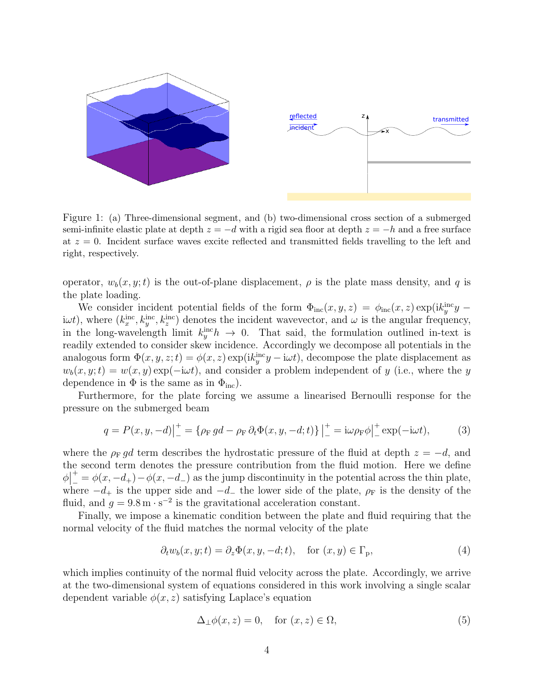

Figure 1: (a) Three-dimensional segment, and (b) two-dimensional cross section of a submerged semi-infinite elastic plate at depth  $z = -d$  with a rigid sea floor at depth  $z = -h$  and a free surface at  $z = 0$ . Incident surface waves excite reflected and transmitted fields travelling to the left and right, respectively.

operator,  $w_b(x, y; t)$  is the out-of-plane displacement,  $\rho$  is the plate mass density, and q is the plate loading.

We consider incident potential fields of the form  $\Phi_{\rm inc}(x, y, z) = \phi_{\rm inc}(x, z) \exp(ik_y^{\rm inc}y - z)$ iwt), where  $(k_x^{\text{inc}}, k_y^{\text{inc}}, k_z^{\text{inc}})$  denotes the incident wavevector, and w is the angular frequency, in the long-wavelength limit  $k_y^{\text{inc}}h \rightarrow 0$ . That said, the formulation outlined in-text is readily extended to consider skew incidence. Accordingly we decompose all potentials in the analogous form  $\Phi(x, y, z; t) = \phi(x, z) \exp(ik_y^{\text{inc}}y - i\omega t)$ , decompose the plate displacement as  $w_b(x, y; t) = w(x, y) \exp(-i\omega t)$ , and consider a problem independent of y (i.e., where the y dependence in  $\Phi$  is the same as in  $\Phi_{\text{inc}}$ .

Furthermore, for the plate forcing we assume a linearised Bernoulli response for the pressure on the submerged beam

<span id="page-3-1"></span>
$$
q = P(x, y, -d)|_{-}^{+} = \{ \rho_{\rm F} \, gd - \rho_{\rm F} \, \partial_t \Phi(x, y, -d; t) \} \Big|_{-}^{+} = i\omega \rho_{\rm F} \phi \Big|_{-}^{+} \exp(-i\omega t), \tag{3}
$$

where the  $\rho_F g d$  term describes the hydrostatic pressure of the fluid at depth  $z = -d$ , and the second term denotes the pressure contribution from the fluid motion. Here we define  $\phi$ <sup>|</sup> +  $\frac{+}{-} = \phi(x, -d_+) - \phi(x, -d_-)$  as the jump discontinuity in the potential across the thin plate, where  $-d_+$  is the upper side and  $-d_-$  the lower side of the plate,  $\rho_F$  is the density of the fluid, and  $g = 9.8 \,\mathrm{m \cdot s^{-2}}$  is the gravitational acceleration constant.

Finally, we impose a kinematic condition between the plate and fluid requiring that the normal velocity of the fluid matches the normal velocity of the plate

<span id="page-3-0"></span>
$$
\partial_t w_b(x, y; t) = \partial_z \Phi(x, y, -d; t), \quad \text{for } (x, y) \in \Gamma_p,
$$
\n(4)

which implies continuity of the normal fluid velocity across the plate. Accordingly, we arrive at the two-dimensional system of equations considered in this work involving a single scalar dependent variable  $\phi(x, z)$  satisfying Laplace's equation

<span id="page-3-2"></span>
$$
\Delta_{\perp}\phi(x,z) = 0, \quad \text{for } (x,z) \in \Omega,
$$
\n(5)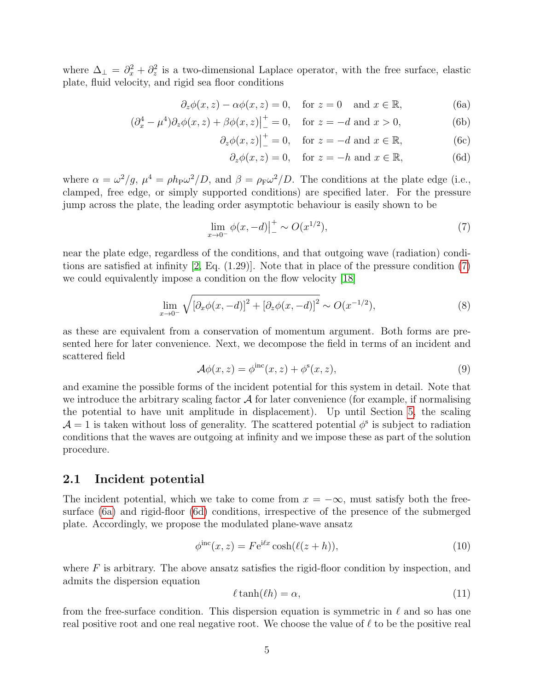where  $\Delta_{\perp} = \partial_x^2 + \partial_z^2$  is a two-dimensional Laplace operator, with the free surface, elastic plate, fluid velocity, and rigid sea floor conditions

$$
\partial_z \phi(x, z) - \alpha \phi(x, z) = 0
$$
, for  $z = 0$  and  $x \in \mathbb{R}$ , (6a)

$$
(\partial_x^4 - \mu^4)\partial_z \phi(x, z) + \beta \phi(x, z)|_{-}^{+} = 0, \text{ for } z = -d \text{ and } x > 0,
$$
 (6b)

$$
\partial_z \phi(x, z)\Big|_{-}^{+} = 0
$$
, for  $z = -d$  and  $x \in \mathbb{R}$ , (6c)

<span id="page-4-5"></span><span id="page-4-2"></span><span id="page-4-1"></span>
$$
\partial_z \phi(x, z) = 0
$$
, for  $z = -h$  and  $x \in \mathbb{R}$ , (6d)

where  $\alpha = \omega^2/g$ ,  $\mu^4 = \rho h_P \omega^2/D$ , and  $\beta = \rho_F \omega^2/D$ . The conditions at the plate edge (i.e., clamped, free edge, or simply supported conditions) are specified later. For the pressure jump across the plate, the leading order asymptotic behaviour is easily shown to be

<span id="page-4-0"></span>
$$
\lim_{x \to 0^{-}} \phi(x, -d)|_{-}^{+} \sim O(x^{1/2}),\tag{7}
$$

near the plate edge, regardless of the conditions, and that outgoing wave (radiation) conditions are satisfied at infinity [\[2,](#page-22-1) Eq. (1.29)]. Note that in place of the pressure condition [\(7\)](#page-4-0) we could equivalently impose a condition on the flow velocity [\[18\]](#page-23-8)

<span id="page-4-7"></span>
$$
\lim_{x \to 0^{-}} \sqrt{[\partial_x \phi(x, -d)]^2 + [\partial_z \phi(x, -d)]^2} \sim O(x^{-1/2}),
$$
\n(8)

as these are equivalent from a conservation of momentum argument. Both forms are presented here for later convenience. Next, we decompose the field in terms of an incident and scattered field

<span id="page-4-3"></span>
$$
\mathcal{A}\phi(x,z) = \phi^{\text{inc}}(x,z) + \phi^{\text{s}}(x,z),\tag{9}
$$

and examine the possible forms of the incident potential for this system in detail. Note that we introduce the arbitrary scaling factor  $A$  for later convenience (for example, if normalising the potential to have unit amplitude in displacement). Up until Section [5,](#page-11-0) the scaling  $\mathcal{A} = 1$  is taken without loss of generality. The scattered potential  $\phi^s$  is subject to radiation conditions that the waves are outgoing at infinity and we impose these as part of the solution procedure.

#### 2.1 Incident potential

The incident potential, which we take to come from  $x = -\infty$ , must satisfy both the freesurface [\(6a\)](#page-4-1) and rigid-floor [\(6d\)](#page-4-2) conditions, irrespective of the presence of the submerged plate. Accordingly, we propose the modulated plane-wave ansatz

<span id="page-4-4"></span>
$$
\phi^{\rm inc}(x, z) = F e^{i\ell x} \cosh(\ell(z + h)),\tag{10}
$$

where  $F$  is arbitrary. The above ansatz satisfies the rigid-floor condition by inspection, and admits the dispersion equation

<span id="page-4-6"></span>
$$
\ell \tanh(\ell h) = \alpha,\tag{11}
$$

from the free-surface condition. This dispersion equation is symmetric in  $\ell$  and so has one real positive root and one real negative root. We choose the value of  $\ell$  to be the positive real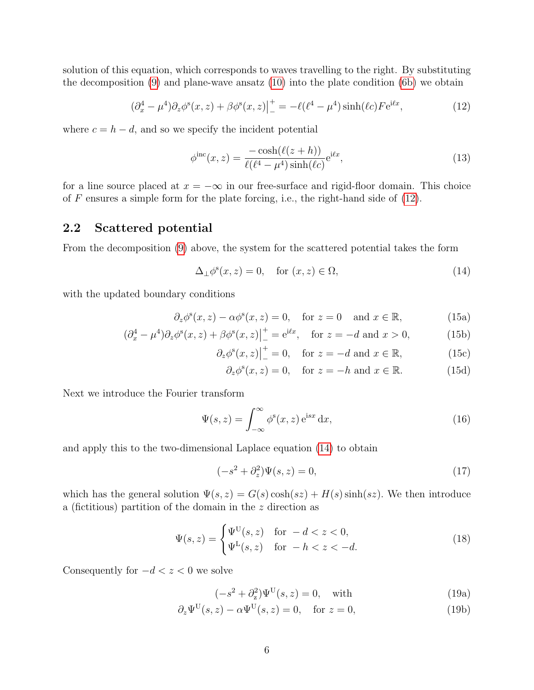solution of this equation, which corresponds to waves travelling to the right. By substituting the decomposition  $(9)$  and plane-wave ansatz  $(10)$  into the plate condition  $(6b)$  we obtain

<span id="page-5-0"></span>
$$
(\partial_x^4 - \mu^4) \partial_z \phi^s(x, z) + \beta \phi^s(x, z) \Big|_{-}^{+} = -\ell(\ell^4 - \mu^4) \sinh(\ell c) F e^{i\ell x}, \tag{12}
$$

where  $c = h - d$ , and so we specify the incident potential

<span id="page-5-6"></span>
$$
\phi^{\rm inc}(x,z) = \frac{-\cosh(\ell(z+h))}{\ell(\ell^4 - \mu^4)\sinh(\ell c)} e^{i\ell x},\tag{13}
$$

for a line source placed at  $x = -\infty$  in our free-surface and rigid-floor domain. This choice of  $F$  ensures a simple form for the plate forcing, i.e., the right-hand side of  $(12)$ .

#### 2.2 Scattered potential

From the decomposition [\(9\)](#page-4-3) above, the system for the scattered potential takes the form

$$
\Delta_{\perp} \phi^s(x, z) = 0, \quad \text{for } (x, z) \in \Omega,
$$
\n(14)

with the updated boundary conditions

$$
\partial_z \phi^s(x, z) - \alpha \phi^s(x, z) = 0, \quad \text{for } z = 0 \quad \text{and } x \in \mathbb{R}, \tag{15a}
$$

$$
(\partial_x^4 - \mu^4)\partial_z \phi^s(x, z) + \beta \phi^s(x, z)\Big|_{-}^{+} = e^{i\ell x}, \quad \text{for } z = -d \text{ and } x > 0,
$$
 (15b)

$$
\partial_z \phi^s(x, z)\Big|_{-}^{+} = 0
$$
, for  $z = -d$  and  $x \in \mathbb{R}$ , (15c)

<span id="page-5-4"></span><span id="page-5-2"></span><span id="page-5-1"></span>
$$
\partial_z \phi^s(x, z) = 0
$$
, for  $z = -h$  and  $x \in \mathbb{R}$ . (15d)

Next we introduce the Fourier transform

<span id="page-5-3"></span>
$$
\Psi(s,z) = \int_{-\infty}^{\infty} \phi^s(x,z) e^{isx} dx,
$$
\n(16)

and apply this to the two-dimensional Laplace equation [\(14\)](#page-5-1) to obtain

<span id="page-5-5"></span>
$$
(-s2 + \partial_z2)\Psi(s, z) = 0,
$$
\n(17)

which has the general solution  $\Psi(s, z) = G(s) \cosh(sz) + H(s) \sinh(sz)$ . We then introduce a (fictitious) partition of the domain in the z direction as

$$
\Psi(s,z) = \begin{cases} \Psi^{\text{U}}(s,z) & \text{for } -d < z < 0, \\ \Psi^{\text{L}}(s,z) & \text{for } -h < z < -d. \end{cases} \tag{18}
$$

Consequently for  $-d < z < 0$  we solve

$$
(-s2 + \partialz2)\PsiU(s, z) = 0, \text{ with } (19a)
$$

$$
\partial_z \Psi^{\mathcal{U}}(s, z) - \alpha \Psi^{\mathcal{U}}(s, z) = 0, \quad \text{for } z = 0,
$$
\n(19b)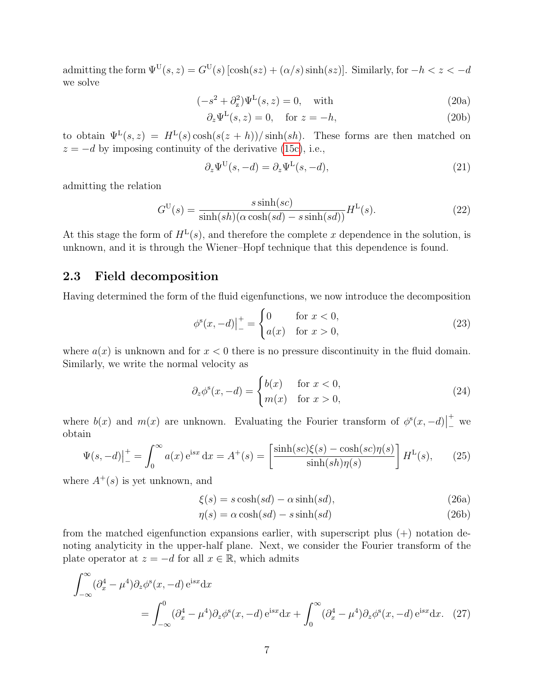admitting the form  $\Psi^{\text{U}}(s, z) = G^{\text{U}}(s) [\cosh(sz) + (\alpha/s) \sinh(sz)]$ . Similarly, for  $-h < z < -d$ we solve

$$
(-s2 + \partial_z2)\PsiL(s, z) = 0, \text{ with } (20a)
$$

$$
\partial_z \Psi^{\mathcal{L}}(s, z) = 0, \quad \text{for } z = -h,
$$
\n(20b)

to obtain  $\Psi^L(s, z) = H^L(s) \cosh(s(z+h)) / \sinh(sh)$ . These forms are then matched on  $z = -d$  by imposing continuity of the derivative [\(15c\)](#page-5-2), i.e.,

$$
\partial_z \Psi^{\mathcal{U}}(s, -d) = \partial_z \Psi^{\mathcal{L}}(s, -d),\tag{21}
$$

admitting the relation

<span id="page-6-4"></span>
$$
G^{U}(s) = \frac{s \sinh(sc)}{\sinh(sh)(\alpha \cosh(sl) - s \sinh(sd))} H^{L}(s).
$$
\n(22)

At this stage the form of  $H^L(s)$ , and therefore the complete x dependence in the solution, is unknown, and it is through the Wiener–Hopf technique that this dependence is found.

#### 2.3 Field decomposition

Having determined the form of the fluid eigenfunctions, we now introduce the decomposition

<span id="page-6-2"></span>
$$
\phi^s(x, -d)|_{-}^{+} = \begin{cases} 0 & \text{for } x < 0, \\ a(x) & \text{for } x > 0, \end{cases}
$$
 (23)

where  $a(x)$  is unknown and for  $x < 0$  there is no pressure discontinuity in the fluid domain. Similarly, we write the normal velocity as

<span id="page-6-3"></span>
$$
\partial_z \phi^s(x, -d) = \begin{cases} b(x) & \text{for } x < 0, \\ m(x) & \text{for } x > 0, \end{cases}
$$
 (24)

where  $b(x)$  and  $m(x)$  are unknown. Evaluating the Fourier transform of  $\phi^s(x, -d)$ +  $\overline{\phantom{a}}^*$  we obtain

$$
\Psi(s, -d)\Big|_{-}^{+} = \int_{0}^{\infty} a(x) e^{isx} dx = A^{+}(s) = \left[\frac{\sinh(sc)\xi(s) - \cosh(sc)\eta(s)}{\sinh(sh)\eta(s)}\right] H^{L}(s),\tag{25}
$$

where  $A^+(s)$  is yet unknown, and

<span id="page-6-1"></span>
$$
\xi(s) = s \cosh(s d) - \alpha \sinh(s d),\tag{26a}
$$

<span id="page-6-0"></span>
$$
\eta(s) = \alpha \cosh(s d) - s \sinh(s d) \tag{26b}
$$

from the matched eigenfunction expansions earlier, with superscript plus (+) notation denoting analyticity in the upper-half plane. Next, we consider the Fourier transform of the plate operator at  $z = -d$  for all  $x \in \mathbb{R}$ , which admits

$$
\int_{-\infty}^{\infty} (\partial_x^4 - \mu^4) \partial_z \phi^s(x, -d) e^{isx} dx
$$
  
= 
$$
\int_{-\infty}^0 (\partial_x^4 - \mu^4) \partial_z \phi^s(x, -d) e^{isx} dx + \int_0^{\infty} (\partial_x^4 - \mu^4) \partial_z \phi^s(x, -d) e^{isx} dx.
$$
 (27)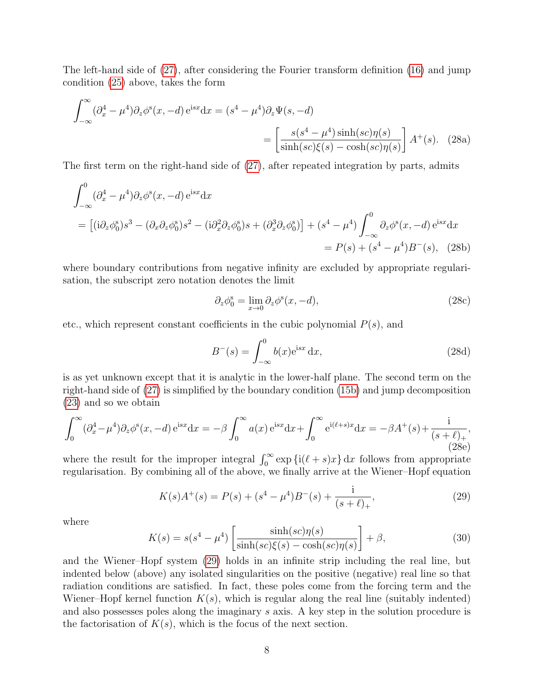The left-hand side of [\(27\)](#page-6-0), after considering the Fourier transform definition [\(16\)](#page-5-3) and jump condition [\(25\)](#page-6-1) above, takes the form

$$
\int_{-\infty}^{\infty} (\partial_x^4 - \mu^4) \partial_z \phi^s(x, -d) e^{isx} dx = (s^4 - \mu^4) \partial_z \Psi(s, -d)
$$

$$
= \left[ \frac{s(s^4 - \mu^4) \sinh(sc) \eta(s)}{\sinh(sc)\xi(s) - \cosh(sc)\eta(s)} \right] A^+(s). \quad (28a)
$$

The first term on the right-hand side of [\(27\)](#page-6-0), after repeated integration by parts, admits

$$
\int_{-\infty}^{0} (\partial_x^4 - \mu^4) \partial_z \phi^s(x, -d) e^{isx} dx
$$
\n
$$
= [ (i \partial_z \phi_0^s) s^3 - (\partial_x \partial_z \phi_0^s) s^2 - (i \partial_x^2 \partial_z \phi_0^s) s + (\partial_x^3 \partial_z \phi_0^s) ] + (s^4 - \mu^4) \int_{-\infty}^{0} \partial_z \phi^s(x, -d) e^{isx} dx
$$
\n
$$
= P(s) + (s^4 - \mu^4) B^-(s), \quad (28b)
$$

where boundary contributions from negative infinity are excluded by appropriate regularisation, the subscript zero notation denotes the limit

<span id="page-7-1"></span>
$$
\partial_z \phi_0^s = \lim_{x \to 0} \partial_z \phi^s(x, -d),\tag{28c}
$$

etc., which represent constant coefficients in the cubic polynomial  $P(s)$ , and

$$
B^{-}(s) = \int_{-\infty}^{0} b(x)e^{isx} dx,
$$
\n(28d)

is as yet unknown except that it is analytic in the lower-half plane. The second term on the right-hand side of [\(27\)](#page-6-0) is simplified by the boundary condition [\(15b\)](#page-5-4) and jump decomposition [\(23\)](#page-6-2) and so we obtain

$$
\int_0^\infty (\partial_x^4 - \mu^4) \partial_z \phi^s(x, -d) e^{isx} dx = -\beta \int_0^\infty a(x) e^{isx} dx + \int_0^\infty e^{i(\ell+s)x} dx = -\beta A^+(s) + \frac{i}{(s+\ell)_+},
$$
\n(28e)

where the result for the improper integral  $\int_0^\infty \exp\left\{i(\ell + s)x\right\} dx$  follows from appropriate regularisation. By combining all of the above, we finally arrive at the Wiener–Hopf equation

<span id="page-7-0"></span>
$$
K(s)A^+(s) = P(s) + (s^4 - \mu^4)B^-(s) + \frac{\mathrm{i}}{(s+\ell)_+},\tag{29}
$$

where

$$
K(s) = s(s^4 - \mu^4) \left[ \frac{\sinh(sc)\eta(s)}{\sinh(sc)\xi(s) - \cosh(sc)\eta(s)} \right] + \beta,
$$
\n(30)

and the Wiener–Hopf system [\(29\)](#page-7-0) holds in an infinite strip including the real line, but indented below (above) any isolated singularities on the positive (negative) real line so that radiation conditions are satisfied. In fact, these poles come from the forcing term and the Wiener–Hopf kernel function  $K(s)$ , which is regular along the real line (suitably indented) and also possesses poles along the imaginary s axis. A key step in the solution procedure is the factorisation of  $K(s)$ , which is the focus of the next section.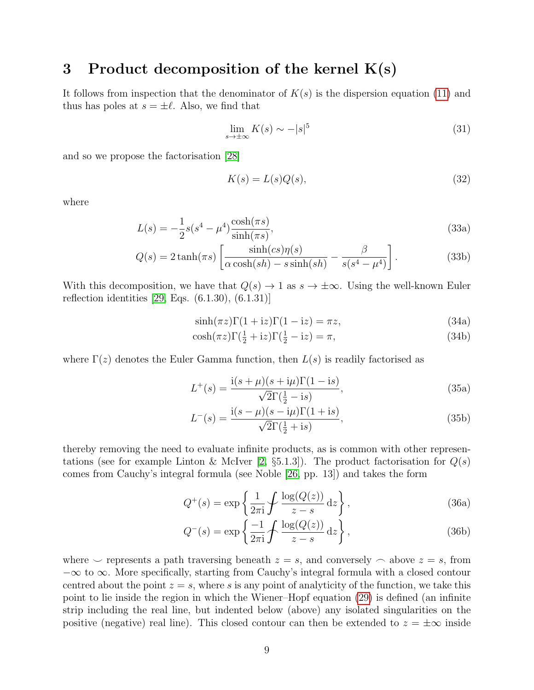### <span id="page-8-0"></span>3 Product decomposition of the kernel  $K(s)$

It follows from inspection that the denominator of  $K(s)$  is the dispersion equation [\(11\)](#page-4-6) and thus has poles at  $s = \pm \ell$ . Also, we find that

<span id="page-8-1"></span>
$$
\lim_{s \to \pm \infty} K(s) \sim -|s|^5 \tag{31}
$$

and so we propose the factorisation [\[28\]](#page-24-2)

$$
K(s) = L(s)Q(s),\tag{32}
$$

where

$$
L(s) = -\frac{1}{2}s(s^4 - \mu^4)\frac{\cosh(\pi s)}{\sinh(\pi s)},
$$
\n(33a)

$$
Q(s) = 2 \tanh(\pi s) \left[ \frac{\sinh(cs)\eta(s)}{\alpha \cosh(sh) - s \sinh(sh)} - \frac{\beta}{s(s^4 - \mu^4)} \right].
$$
 (33b)

With this decomposition, we have that  $Q(s) \to 1$  as  $s \to \pm \infty$ . Using the well-known Euler reflection identities [\[29,](#page-24-3) Eqs. (6.1.30), (6.1.31)]

$$
\sinh(\pi z)\Gamma(1+i z)\Gamma(1-i z) = \pi z,\tag{34a}
$$

$$
\cosh(\pi z)\Gamma(\frac{1}{2} + iz)\Gamma(\frac{1}{2} - iz) = \pi,\tag{34b}
$$

where  $\Gamma(z)$  denotes the Euler Gamma function, then  $L(s)$  is readily factorised as

$$
L^{+}(s) = \frac{i(s + \mu)(s + i\mu)\Gamma(1 - is)}{\sqrt{2}\Gamma(\frac{1}{2} - is)},
$$
\n(35a)

$$
L^{-}(s) = \frac{i(s - \mu)(s - i\mu)\Gamma(1 + is)}{\sqrt{2}\Gamma(\frac{1}{2} + is)},
$$
\n(35b)

thereby removing the need to evaluate infinite products, as is common with other represen-tations (see for example Linton & McIver [\[2,](#page-22-1)  $\S5.1.3$ ]). The product factorisation for  $Q(s)$ comes from Cauchy's integral formula (see Noble [\[26,](#page-24-0) pp. 13]) and takes the form

$$
Q^{+}(s) = \exp\left\{\frac{1}{2\pi i}\mathcal{J}\frac{\log(Q(z))}{z-s}\,\mathrm{d}z\right\},\tag{36a}
$$

$$
Q^{-}(s) = \exp\left\{\frac{-1}{2\pi i}\mathcal{f}\frac{\log(Q(z))}{z-s}\,\mathrm{d}z\right\},\tag{36b}
$$

where  $\smile$  represents a path traversing beneath  $z = s$ , and conversely  $\frown$  above  $z = s$ , from −∞ to ∞. More specifically, starting from Cauchy's integral formula with a closed contour centred about the point  $z = s$ , where s is any point of analyticity of the function, we take this point to lie inside the region in which the Wiener–Hopf equation [\(29\)](#page-7-0) is defined (an infinite strip including the real line, but indented below (above) any isolated singularities on the positive (negative) real line). This closed contour can then be extended to  $z = \pm \infty$  inside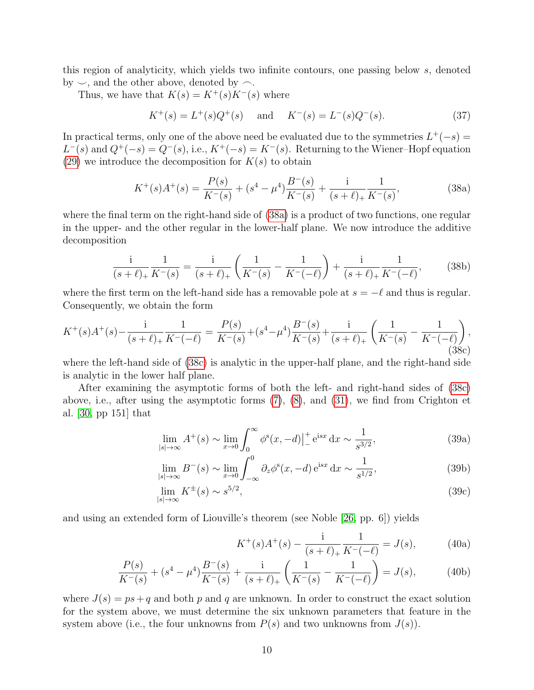this region of analyticity, which yields two infinite contours, one passing below s, denoted by  $\sim$ , and the other above, denoted by  $\sim$ .

Thus, we have that  $K(s) = K^+(s)K^-(s)$  where

$$
K^+(s) = L^+(s)Q^+(s)
$$
 and  $K^-(s) = L^-(s)Q^-(s)$ . (37)

In practical terms, only one of the above need be evaluated due to the symmetries  $L^+(-s)$  =  $L^{-}(s)$  and  $Q^{+}(-s) = Q^{-}(s)$ , i.e.,  $K^{+}(-s) = K^{-}(s)$ . Returning to the Wiener–Hopf equation [\(29\)](#page-7-0) we introduce the decomposition for  $K(s)$  to obtain

<span id="page-9-0"></span>
$$
K^{+}(s)A^{+}(s) = \frac{P(s)}{K^{-}(s)} + (s^{4} - \mu^{4})\frac{B^{-}(s)}{K^{-}(s)} + \frac{\mathrm{i}}{(s+\ell)_{+}}\frac{1}{K^{-}(s)},\tag{38a}
$$

where the final term on the right-hand side of [\(38a\)](#page-9-0) is a product of two functions, one regular in the upper- and the other regular in the lower-half plane. We now introduce the additive decomposition

$$
\frac{1}{(s+\ell)_+} \frac{1}{K^-(s)} = \frac{1}{(s+\ell)_+} \left( \frac{1}{K^-(s)} - \frac{1}{K^-(-\ell)} \right) + \frac{1}{(s+\ell)_+} \frac{1}{K^-(-\ell)},\tag{38b}
$$

where the first term on the left-hand side has a removable pole at  $s = -\ell$  and thus is regular. Consequently, we obtain the form

<span id="page-9-1"></span>
$$
K^{+}(s)A^{+}(s) - \frac{i}{(s+\ell)_{+}}\frac{1}{K^{-}(-\ell)} = \frac{P(s)}{K^{-}(s)} + (s^{4} - \mu^{4})\frac{B^{-}(s)}{K^{-}(s)} + \frac{i}{(s+\ell)_{+}}\left(\frac{1}{K^{-}(s)} - \frac{1}{K^{-}(-\ell)}\right),\tag{38c}
$$

where the left-hand side of [\(38c\)](#page-9-1) is analytic in the upper-half plane, and the right-hand side is analytic in the lower half plane.

After examining the asymptotic forms of both the left- and right-hand sides of [\(38c\)](#page-9-1) above, i.e., after using the asymptotic forms [\(7\)](#page-4-0), [\(8\)](#page-4-7), and [\(31\)](#page-8-1), we find from Crighton et al. [\[30,](#page-24-4) pp 151] that

$$
\lim_{|s| \to \infty} A^+(s) \sim \lim_{x \to 0} \int_0^\infty \phi^s(x, -d) \Big|_-^+ e^{isx} dx \sim \frac{1}{s^{3/2}},
$$
\n(39a)

$$
\lim_{|s| \to \infty} B^-(s) \sim \lim_{x \to 0} \int_{-\infty}^0 \partial_z \phi^s(x, -d) e^{isx} dx \sim \frac{1}{s^{1/2}},
$$
\n(39b)

$$
\lim_{|s| \to \infty} K^{\pm}(s) \sim s^{5/2},\tag{39c}
$$

and using an extended form of Liouville's theorem (see Noble [\[26,](#page-24-0) pp. 6]) yields

<span id="page-9-3"></span><span id="page-9-2"></span>
$$
K^+(s)A^+(s) - \frac{1}{(s+\ell)_+} \frac{1}{K^-(-\ell)} = J(s), \tag{40a}
$$

$$
\frac{P(s)}{K^-(s)} + (s^4 - \mu^4) \frac{B^-(s)}{K^-(s)} + \frac{\mathrm{i}}{(s+\ell)_+} \left( \frac{1}{K^-(s)} - \frac{1}{K^-(-\ell)} \right) = J(s),\tag{40b}
$$

where  $J(s) = ps + q$  and both p and q are unknown. In order to construct the exact solution for the system above, we must determine the six unknown parameters that feature in the system above (i.e., the four unknowns from  $P(s)$  and two unknowns from  $J(s)$ ).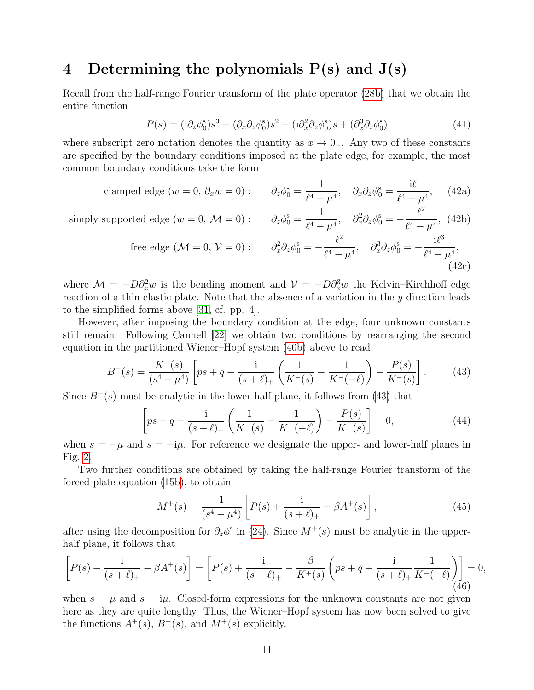### <span id="page-10-0"></span>4 Determining the polynomials  $P(s)$  and  $J(s)$

Recall from the half-range Fourier transform of the plate operator [\(28b\)](#page-7-1) that we obtain the entire function

$$
P(s) = (i\partial_z \phi_0^s)s^3 - (\partial_x \partial_z \phi_0^s)s^2 - (i\partial_x^2 \partial_z \phi_0^s)s + (\partial_x^3 \partial_z \phi_0^s)
$$
(41)

<span id="page-10-2"></span>1

where subscript zero notation denotes the quantity as  $x \to 0^-$ . Any two of these constants are specified by the boundary conditions imposed at the plate edge, for example, the most common boundary conditions take the form

clamped edge 
$$
(w = 0, \partial_x w = 0)
$$
:  $\partial_z \phi_0^s = \frac{1}{\ell^4 - \mu^4}, \quad \partial_x \partial_z \phi_0^s = \frac{i\ell}{\ell^4 - \mu^4},$  (42a)

simply supported edge  $(w = 0, \mathcal{M} = 0)$ :  $\partial_z \phi_0^s =$ 

\n
$$
\text{protected edge } (w = 0, \, \mathcal{M} = 0): \quad \partial_z \phi_0^s = \frac{1}{\ell^4 - \mu^4}, \quad \partial_x^2 \partial_z \phi_0^s = -\frac{\ell^2}{\ell^4 - \mu^4}, \quad (42b)
$$
\n

\n\n $\text{free edge } (\mathcal{M} = 0, \, \mathcal{V} = 0): \quad \partial_x^2 \partial_z \phi_0^s = -\frac{\ell^2}{\ell^4 - \mu^4}, \quad \partial_x^3 \partial_z \phi_0^s = -\frac{i\ell^3}{\ell^4 - \mu^4}, \quad (42c)$ \n

where  $\mathcal{M} = -D\partial_x^2 w$  is the bending moment and  $\mathcal{V} = -D\partial_x^3 w$  the Kelvin–Kirchhoff edge reaction of a thin elastic plate. Note that the absence of a variation in the y direction leads to the simplified forms above [\[31,](#page-24-5) cf. pp. 4].

However, after imposing the boundary condition at the edge, four unknown constants still remain. Following Cannell [\[22\]](#page-23-12) we obtain two conditions by rearranging the second equation in the partitioned Wiener–Hopf system [\(40b\)](#page-9-2) above to read

<span id="page-10-1"></span>
$$
B^{-}(s) = \frac{K^{-}(s)}{(s^{4} - \mu^{4})} \left[ ps + q - \frac{i}{(s + \ell)_{+}} \left( \frac{1}{K^{-}(s)} - \frac{1}{K^{-}(-\ell)} \right) - \frac{P(s)}{K^{-}(s)} \right].
$$
 (43)

Since  $B^{-}(s)$  must be analytic in the lower-half plane, it follows from [\(43\)](#page-10-1) that

$$
\left[ ps + q - \frac{1}{(s+\ell)_+} \left( \frac{1}{K^-(s)} - \frac{1}{K^-(\ell)} \right) - \frac{P(s)}{K^-(s)} \right] = 0,
$$
\n(44)

when  $s = -\mu$  and  $s = -i\mu$ . For reference we designate the upper- and lower-half planes in Fig. [2.](#page-11-1)

Two further conditions are obtained by taking the half-range Fourier transform of the forced plate equation [\(15b\)](#page-5-4), to obtain

$$
M^+(s) = \frac{1}{(s^4 - \mu^4)} \left[ P(s) + \frac{i}{(s + \ell)_+} - \beta A^+(s) \right],\tag{45}
$$

after using the decomposition for  $\partial_z \phi^s$  in [\(24\)](#page-6-3). Since  $M^+(s)$  must be analytic in the upperhalf plane, it follows that

$$
\[P(s) + \frac{i}{(s+\ell)_+} - \beta A^+(s)\] = \left[P(s) + \frac{i}{(s+\ell)_+} - \frac{\beta}{K^+(s)}\left(ps+q + \frac{i}{(s+\ell)_+}\frac{1}{K^-(-\ell)}\right)\right] = 0, \tag{46}
$$

when  $s = \mu$  and  $s = i\mu$ . Closed-form expressions for the unknown constants are not given here as they are quite lengthy. Thus, the Wiener–Hopf system has now been solved to give the functions  $A^+(s)$ ,  $B^-(s)$ , and  $M^+(s)$  explicitly.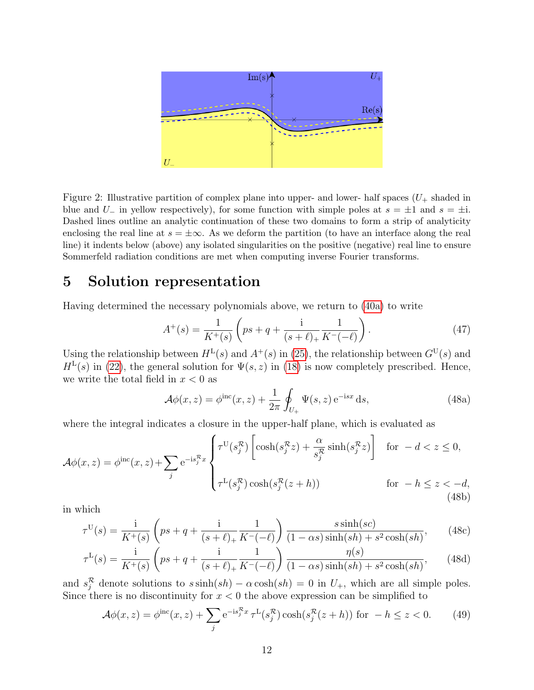

<span id="page-11-1"></span>Figure 2: Illustrative partition of complex plane into upper- and lower- half spaces  $(U_{+}$  shaded in blue and U<sub>-</sub> in yellow respectively), for some function with simple poles at  $s = \pm 1$  and  $s = \pm i$ . Dashed lines outline an analytic continuation of these two domains to form a strip of analyticity enclosing the real line at  $s = \pm \infty$ . As we deform the partition (to have an interface along the real line) it indents below (above) any isolated singularities on the positive (negative) real line to ensure Sommerfeld radiation conditions are met when computing inverse Fourier transforms.

## <span id="page-11-0"></span>5 Solution representation

Having determined the necessary polynomials above, we return to [\(40a\)](#page-9-3) to write

$$
A^{+}(s) = \frac{1}{K^{+}(s)} \left( ps + q + \frac{1}{(s+\ell)_{+}} \frac{1}{K^{-}(-\ell)} \right). \tag{47}
$$

Using the relationship between  $H^L(s)$  and  $A^+(s)$  in [\(25\)](#page-6-1), the relationship between  $G^U(s)$  and  $H<sup>L</sup>(s)$  in [\(22\)](#page-6-4), the general solution for  $\Psi(s, z)$  in [\(18\)](#page-5-5) is now completely prescribed. Hence, we write the total field in  $x < 0$  as

$$
\mathcal{A}\phi(x,z) = \phi^{\text{inc}}(x,z) + \frac{1}{2\pi} \oint_{U_+} \Psi(s,z) e^{-isx} ds,
$$
\n(48a)

where the integral indicates a closure in the upper-half plane, which is evaluated as

$$
\mathcal{A}\phi(x,z) = \phi^{\rm inc}(x,z) + \sum_{j} e^{-is_j^{\mathcal{R}}x} \begin{cases} \tau^{\rm U}(s_j^{\mathcal{R}}) \left[ \cosh(s_j^{\mathcal{R}}z) + \frac{\alpha}{s_j^{\mathcal{R}}} \sinh(s_j^{\mathcal{R}}z) \right] & \text{for } -d < z \le 0, \\ \tau^{\rm L}(s_j^{\mathcal{R}}) \cosh(s_j^{\mathcal{R}}(z+h)) & \text{for } -h \le z < -d, \end{cases} \tag{48b}
$$

in which

$$
\tau^{\mathcal{U}}(s) = \frac{\mathbf{i}}{K^+(s)} \left( ps + q + \frac{\mathbf{i}}{(s+\ell)_+} \frac{1}{K^-(-\ell)} \right) \frac{s \sinh(sc)}{(1-\alpha s) \sinh(sh) + s^2 \cosh(sh)},\tag{48c}
$$

$$
\tau^{\mathcal{L}}(s) = \frac{\mathbf{i}}{K^+(s)} \left( ps + q + \frac{\mathbf{i}}{(s+\ell)_+} \frac{1}{K^-(-\ell)} \right) \frac{\eta(s)}{(1-\alpha s)\sinh(sh) + s^2 \cosh(sh)},\tag{48d}
$$

and  $s_j^R$  denote solutions to  $s \sinh(sh) - \alpha \cosh(sh) = 0$  in  $U_+$ , which are all simple poles. Since there is no discontinuity for  $x < 0$  the above expression can be simplified to

$$
\mathcal{A}\phi(x,z) = \phi^{\rm inc}(x,z) + \sum_j e^{-is_j^{\mathcal{R}}x} \tau^{\rm L}(s_j^{\mathcal{R}})\cosh(s_j^{\mathcal{R}}(z+h)) \text{ for } -h \le z < 0. \tag{49}
$$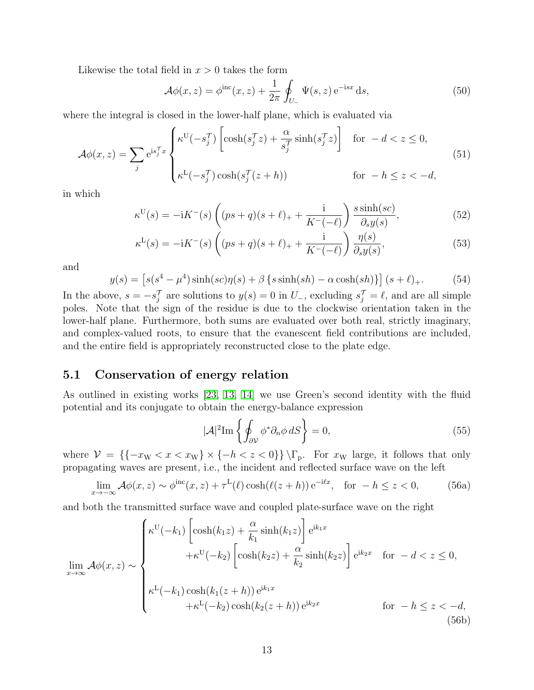Likewise the total field in  $x > 0$  takes the form

$$
\mathcal{A}\phi(x,z) = \phi^{\text{inc}}(x,z) + \frac{1}{2\pi} \oint_{U_{-}} \Psi(s,z) e^{-isx} ds,
$$
\n(50)

where the integral is closed in the lower-half plane, which is evaluated via

$$
\mathcal{A}\phi(x,z) = \sum_{j} e^{is_j^T x} \begin{cases} \kappa^U(-s_j^T) \left[ \cosh(s_j^T z) + \frac{\alpha}{s_j^T} \sinh(s_j^T z) \right] & \text{for } -d < z \le 0, \\ \kappa^L(-s_j^T) \cosh(s_j^T (z+h)) & \text{for } -h \le z < -d, \end{cases} \tag{51}
$$

in which

$$
\kappa^{U}(s) = -iK^{-}(s)\left( (ps+q)(s+\ell)_{+} + \frac{i}{K^{-}(-\ell)} \right) \frac{s \sinh(sc)}{\partial_{s}y(s)},
$$
\n(52)

$$
\kappa^{\mathcal{L}}(s) = -\mathrm{i}K^{-}(s)\left( (ps+q)(s+\ell)_{+} + \frac{\mathrm{i}}{K^{-}(-\ell)} \right) \frac{\eta(s)}{\partial_{s}y(s)},\tag{53}
$$

and

$$
y(s) = \left[ s(s^4 - \mu^4) \sinh(sc)\eta(s) + \beta \left\{ s \sinh(sh) - \alpha \cosh(sh) \right\} \right](s + \ell)_+.
$$
 (54)

In the above,  $s = -s_j^{\mathcal{T}}$  are solutions to  $y(s) = 0$  in  $U_{-}$ , excluding  $s_j^{\mathcal{T}} = \ell$ , and are all simple poles. Note that the sign of the residue is due to the clockwise orientation taken in the lower-half plane. Furthermore, both sums are evaluated over both real, strictly imaginary, and complex-valued roots, to ensure that the evanescent field contributions are included, and the entire field is appropriately reconstructed close to the plate edge.

#### 5.1 Conservation of energy relation

As outlined in existing works [\[23,](#page-23-13) [13,](#page-23-3) [14\]](#page-23-4) we use Green's second identity with the fluid potential and its conjugate to obtain the energy-balance expression

<span id="page-12-0"></span>
$$
|\mathcal{A}|^2 \text{Im} \left\{ \oint_{\partial \mathcal{V}} \phi^* \partial_n \phi \, dS \right\} = 0, \tag{55}
$$

where  $\mathcal{V} = \{\{-x_{\text{W}} < x < x_{\text{W}}\} \times \{-h < z < 0\}\}\$ . For  $x_{\text{W}}$  large, it follows that only propagating waves are present, i.e., the incident and reflected surface wave on the left

$$
\lim_{x \to -\infty} \mathcal{A}\phi(x, z) \sim \phi^{\text{inc}}(x, z) + \tau^{\text{L}}(\ell) \cosh(\ell(z + h)) e^{-i\ell x}, \quad \text{for } -h \le z < 0,
$$
 (56a)

and both the transmitted surface wave and coupled plate-surface wave on the right

$$
\lim_{x \to \infty} \mathcal{A}\phi(x, z) \sim\n\begin{cases}\n\kappa^{U}(-k_1) \left[ \cosh(k_1 z) + \frac{\alpha}{k_1} \sinh(k_1 z) \right] e^{ik_1 x} \\
+ \kappa^{U}(-k_2) \left[ \cosh(k_2 z) + \frac{\alpha}{k_2} \sinh(k_2 z) \right] e^{ik_2 x} & \text{for } -d < z \le 0, \\
\kappa^{L}(-k_1) \cosh(k_1 (z + h)) e^{ik_1 x} \\
+ \kappa^{L}(-k_2) \cosh(k_2 (z + h)) e^{ik_2 x} & \text{for } -h \le z < -d,\n\end{cases}\n\tag{56b}
$$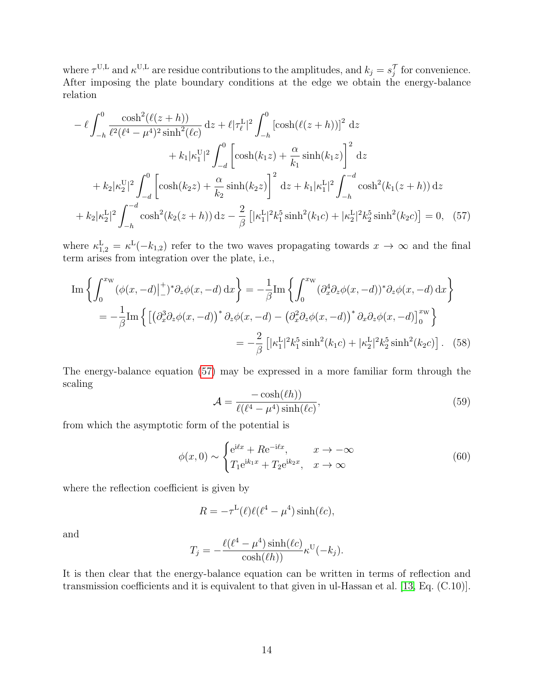where  $\tau^{U,L}$  and  $\kappa^{U,L}$  are residue contributions to the amplitudes, and  $k_j = s_j^{\mathcal{T}}$  for convenience. After imposing the plate boundary conditions at the edge we obtain the energy-balance relation

$$
-\ell \int_{-h}^{0} \frac{\cosh^{2}(\ell(z+h))}{\ell^{2}(\ell^{4}-\mu^{4})^{2} \sinh^{2}(\ell c)} dz + \ell |\tau_{\ell}^{L}|^{2} \int_{-h}^{0} [\cosh(\ell(z+h))]^{2} dz + k_{1}|\kappa_{1}^{U}|^{2} \int_{-d}^{0} \left[ \cosh(k_{1}z) + \frac{\alpha}{k_{1}} \sinh(k_{1}z) \right]^{2} dz + k_{2}|\kappa_{2}^{U}|^{2} \int_{-d}^{0} \left[ \cosh(k_{2}z) + \frac{\alpha}{k_{2}} \sinh(k_{2}z) \right]^{2} dz + k_{1}|\kappa_{1}^{L}|^{2} \int_{-h}^{-d} \cosh^{2}(k_{1}(z+h)) dz + k_{2}|\kappa_{2}^{L}|^{2} \int_{-h}^{-d} \cosh^{2}(k_{2}(z+h)) dz - \frac{2}{\beta} \left[ |\kappa_{1}^{L}|^{2}k_{1}^{5} \sinh^{2}(k_{1}c) + |\kappa_{2}^{L}|^{2}k_{2}^{5} \sinh^{2}(k_{2}c) \right] = 0, (57)
$$

where  $\kappa_{1,2}^{\text{L}} = \kappa^{\text{L}}(-k_{1,2})$  refer to the two waves propagating towards  $x \to \infty$  and the final term arises from integration over the plate, i.e.,

$$
\text{Im}\left\{\int_0^{x_{\text{W}}} (\phi(x, -d)|_{-}^{+})^* \partial_z \phi(x, -d) \, dx\right\} = -\frac{1}{\beta} \text{Im}\left\{\int_0^{x_{\text{W}}} (\partial_x^4 \partial_z \phi(x, -d))^* \partial_z \phi(x, -d) \, dx\right\}
$$
\n
$$
= -\frac{1}{\beta} \text{Im}\left\{\left[\left(\partial_x^3 \partial_z \phi(x, -d)\right)^* \partial_z \phi(x, -d) - \left(\partial_x^2 \partial_z \phi(x, -d)\right)^* \partial_x \partial_z \phi(x, -d)\right]_0^{x_{\text{W}}}\right\}
$$
\n
$$
= -\frac{2}{\beta} \left[|\kappa_1^{\text{L}}|^2 k_1^5 \sinh^2(k_1c) + |\kappa_2^{\text{L}}|^2 k_2^5 \sinh^2(k_2c)\right]. \tag{58}
$$

The energy-balance equation [\(57\)](#page-13-0) may be expressed in a more familiar form through the scaling

<span id="page-13-3"></span><span id="page-13-1"></span><span id="page-13-0"></span>
$$
\mathcal{A} = \frac{-\cosh(\ell h))}{\ell(\ell^4 - \mu^4)\sinh(\ell c)},\tag{59}
$$

from which the asymptotic form of the potential is

<span id="page-13-2"></span>
$$
\phi(x,0) \sim \begin{cases} e^{i\ell x} + R e^{-i\ell x}, & x \to -\infty \\ T_1 e^{ik_1 x} + T_2 e^{ik_2 x}, & x \to \infty \end{cases}
$$
(60)

where the reflection coefficient is given by

$$
R = -\tau^{L}(\ell)\ell(\ell^{4} - \mu^{4})\sinh(\ell c),
$$

and

$$
T_j = -\frac{\ell(\ell^4 - \mu^4)\sinh(\ell c)}{\cosh(\ell h))}\kappa^{U}(-k_j).
$$

It is then clear that the energy-balance equation can be written in terms of reflection and transmission coefficients and it is equivalent to that given in ul-Hassan et al. [\[13,](#page-23-3) Eq. (C.10)].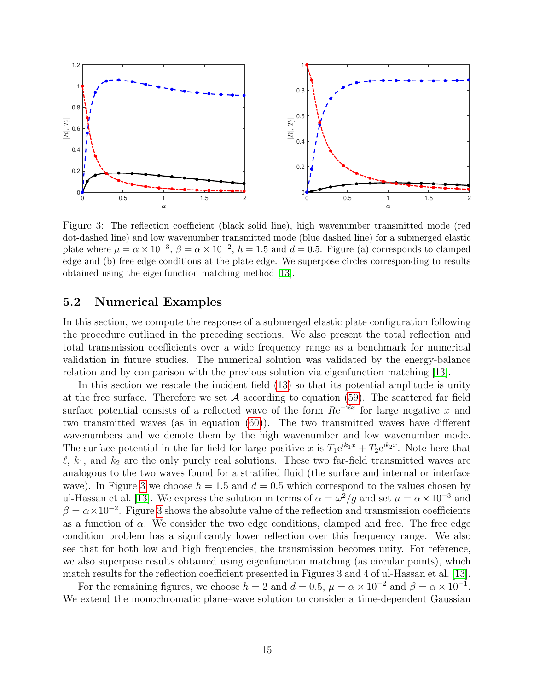

<span id="page-14-0"></span>Figure 3: The reflection coefficient (black solid line), high wavenumber transmitted mode (red dot-dashed line) and low wavenumber transmitted mode (blue dashed line) for a submerged elastic plate where  $\mu = \alpha \times 10^{-3}$ ,  $\beta = \alpha \times 10^{-2}$ ,  $h = 1.5$  and  $d = 0.5$ . Figure (a) corresponds to clamped edge and (b) free edge conditions at the plate edge. We superpose circles corresponding to results obtained using the eigenfunction matching method [\[13\]](#page-23-3).

#### 5.2 Numerical Examples

In this section, we compute the response of a submerged elastic plate configuration following the procedure outlined in the preceding sections. We also present the total reflection and total transmission coefficients over a wide frequency range as a benchmark for numerical validation in future studies. The numerical solution was validated by the energy-balance relation and by comparison with the previous solution via eigenfunction matching [\[13\]](#page-23-3).

In this section we rescale the incident field [\(13\)](#page-5-6) so that its potential amplitude is unity at the free surface. Therefore we set  $A$  according to equation [\(59\)](#page-13-1). The scattered far field surface potential consists of a reflected wave of the form  $Re^{-i\ell x}$  for large negative x and two transmitted waves (as in equation [\(60\)](#page-13-2)). The two transmitted waves have different wavenumbers and we denote them by the high wavenumber and low wavenumber mode. The surface potential in the far field for large positive x is  $T_1e^{ik_1x} + T_2e^{ik_2x}$ . Note here that  $\ell$ ,  $k_1$ , and  $k_2$  are the only purely real solutions. These two far-field transmitted waves are analogous to the two waves found for a stratified fluid (the surface and internal or interface wave). In Figure [3](#page-14-0) we choose  $h = 1.5$  and  $d = 0.5$  which correspond to the values chosen by ul-Hassan et al. [\[13\]](#page-23-3). We express the solution in terms of  $\alpha = \omega^2/g$  and set  $\mu = \alpha \times 10^{-3}$  and  $\beta = \alpha \times 10^{-2}$ . Figure [3](#page-14-0) shows the absolute value of the reflection and transmission coefficients as a function of  $\alpha$ . We consider the two edge conditions, clamped and free. The free edge condition problem has a significantly lower reflection over this frequency range. We also see that for both low and high frequencies, the transmission becomes unity. For reference, we also superpose results obtained using eigenfunction matching (as circular points), which match results for the reflection coefficient presented in Figures 3 and 4 of ul-Hassan et al. [\[13\]](#page-23-3).

For the remaining figures, we choose  $h = 2$  and  $d = 0.5$ ,  $\mu = \alpha \times 10^{-2}$  and  $\beta = \alpha \times 10^{-1}$ . We extend the monochromatic plane–wave solution to consider a time-dependent Gaussian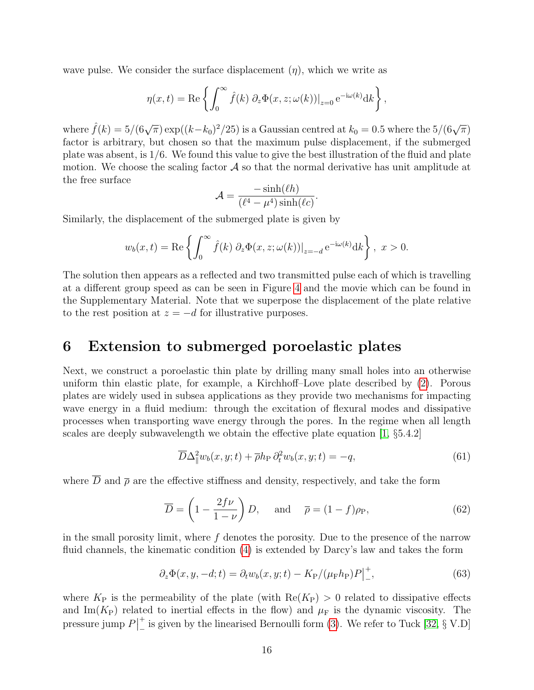wave pulse. We consider the surface displacement  $(\eta)$ , which we write as

$$
\eta(x,t) = \text{Re}\left\{ \int_0^\infty \hat{f}(k) \ \partial_z \Phi(x,z;\omega(k))|_{z=0} e^{-i\omega(k)} dk \right\},\,
$$

where  $\hat{f}(k) = 5/(6\sqrt{\pi}) \exp((k-k_0)^2/25)$  is a Gaussian centred at  $k_0 = 0.5$  where the  $5/(6\sqrt{\pi})$ factor is arbitrary, but chosen so that the maximum pulse displacement, if the submerged plate was absent, is 1/6. We found this value to give the best illustration of the fluid and plate motion. We choose the scaling factor  $A$  so that the normal derivative has unit amplitude at the free surface  $\cdot$  sinh( $\cdot$ )

$$
\mathcal{A} = \frac{-\sinh(\ell h)}{(\ell^4 - \mu^4)\sinh(\ell c)}.
$$

Similarly, the displacement of the submerged plate is given by

$$
w_b(x,t) = \text{Re}\left\{\int_0^\infty \hat{f}(k) \ \partial_z \Phi(x,z;\omega(k))|_{z=-d} e^{-i\omega(k)} dk\right\},\ x > 0.
$$

The solution then appears as a reflected and two transmitted pulse each of which is travelling at a different group speed as can be seen in Figure [4](#page-16-0) and the movie which can be found in the Supplementary Material. Note that we superpose the displacement of the plate relative to the rest position at  $z = -d$  for illustrative purposes.

### <span id="page-15-0"></span>6 Extension to submerged poroelastic plates

Next, we construct a poroelastic thin plate by drilling many small holes into an otherwise uniform thin elastic plate, for example, a Kirchhoff–Love plate described by [\(2\)](#page-2-2). Porous plates are widely used in subsea applications as they provide two mechanisms for impacting wave energy in a fluid medium: through the excitation of flexural modes and dissipative processes when transporting wave energy through the pores. In the regime when all length scales are deeply subwavelength we obtain the effective plate equation [\[1,](#page-22-0) §5.4.2]

<span id="page-15-2"></span>
$$
\overline{D}\Delta_{\parallel}^2 w_b(x, y; t) + \overline{\rho}h_{\rm P}\partial_t^2 w_b(x, y; t) = -q,\tag{61}
$$

where  $\overline{D}$  and  $\overline{\rho}$  are the effective stiffness and density, respectively, and take the form

$$
\overline{D} = \left(1 - \frac{2f\nu}{1-\nu}\right)D, \quad \text{and} \quad \overline{\rho} = (1-f)\rho_{\text{P}},\tag{62}
$$

in the small porosity limit, where  $f$  denotes the porosity. Due to the presence of the narrow fluid channels, the kinematic condition [\(4\)](#page-3-0) is extended by Darcy's law and takes the form

<span id="page-15-1"></span>
$$
\partial_z \Phi(x, y, -d; t) = \partial_t w_b(x, y; t) - K_P / (\mu_F h_P) P \Big|_{-}^{+},\tag{63}
$$

where  $K_{\rm P}$  is the permeability of the plate (with  $\text{Re}(K_{\rm P}) > 0$  related to dissipative effects and Im( $K_{\rm P}$ ) related to inertial effects in the flow) and  $\mu_{\rm F}$  is the dynamic viscosity. The pressure jump  $P|$ +  $\frac{+}{ }$  is given by the linearised Bernoulli form [\(3\)](#page-3-1). We refer to Tuck [\[32,](#page-24-6) § V.D]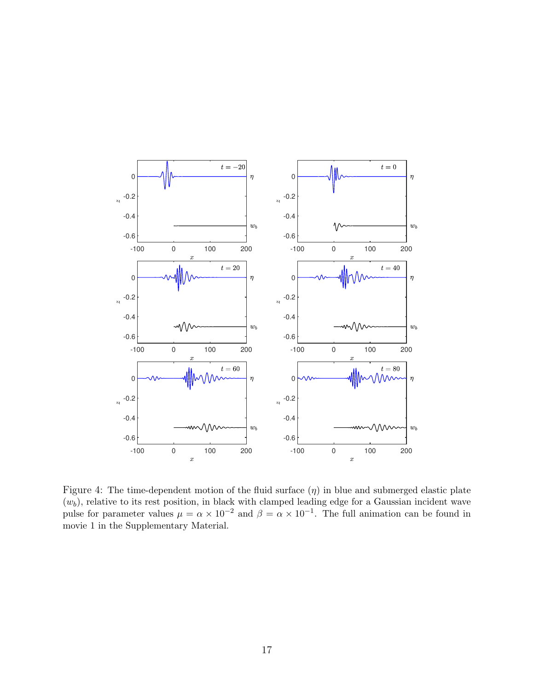

<span id="page-16-0"></span>Figure 4: The time-dependent motion of the fluid surface  $(\eta)$  in blue and submerged elastic plate  $(w_b)$ , relative to its rest position, in black with clamped leading edge for a Gaussian incident wave pulse for parameter values  $\mu = \alpha \times 10^{-2}$  and  $\beta = \alpha \times 10^{-1}$ . The full animation can be found in movie 1 in the Supplementary Material.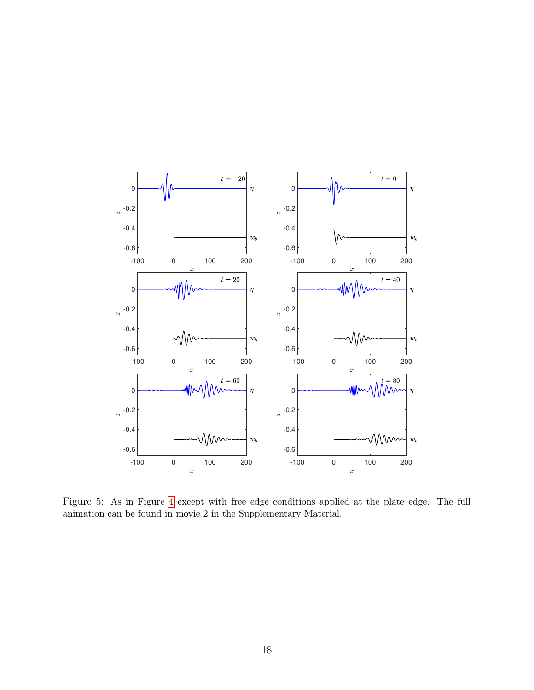

Figure 5: As in Figure [4](#page-16-0) except with free edge conditions applied at the plate edge. The full animation can be found in movie 2 in the Supplementary Material.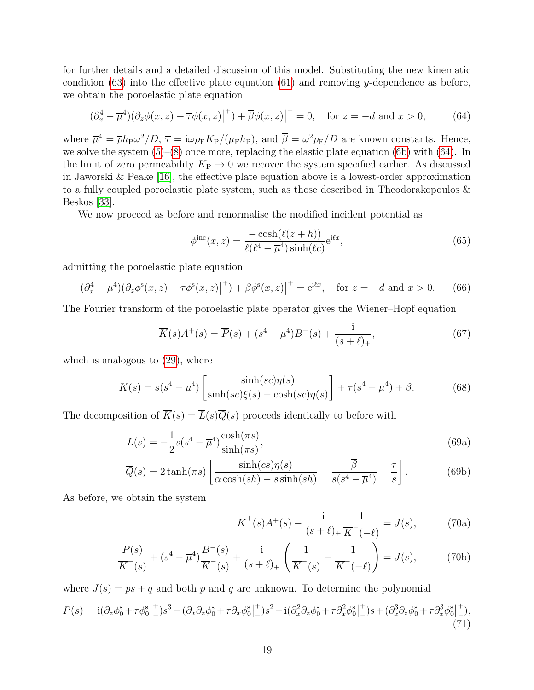for further details and a detailed discussion of this model. Substituting the new kinematic condition  $(63)$  into the effective plate equation  $(61)$  and removing y-dependence as before, we obtain the poroelastic plate equation

<span id="page-18-0"></span>
$$
(\partial_x^4 - \overline{\mu}^4)(\partial_z \phi(x, z) + \overline{\tau}\phi(x, z)\big|_-^+)+\overline{\beta}\phi(x, z)\big|_-^+ = 0, \quad \text{for } z = -d \text{ and } x > 0,
$$
 (64)

where  $\overline{\mu}^4 = \overline{\rho} h_{\rm P} \omega^2 / \overline{D}$ ,  $\overline{\tau} = i \omega \rho_{\rm F} K_{\rm P} / (\mu_{\rm F} h_{\rm P})$ , and  $\overline{\beta} = \omega^2 \rho_{\rm F} / \overline{D}$  are known constants. Hence, we solve the system  $(5)$ – $(8)$  once more, replacing the elastic plate equation  $(6b)$  with  $(64)$ . In the limit of zero permeability  $K_{\rm P} \rightarrow 0$  we recover the system specified earlier. As discussed in Jaworski & Peake [\[16\]](#page-23-6), the effective plate equation above is a lowest-order approximation to a fully coupled poroelastic plate system, such as those described in Theodorakopoulos & Beskos [\[33\]](#page-24-7).

We now proceed as before and renormalise the modified incident potential as

$$
\phi^{\rm inc}(x,z) = \frac{-\cosh(\ell(z+h))}{\ell(\ell^4 - \overline{\mu}^4)\sinh(\ell c)} e^{\mathrm{i}\ell x},\tag{65}
$$

admitting the poroelastic plate equation

<span id="page-18-2"></span>
$$
(\partial_x^4 - \overline{\mu}^4)(\partial_z \phi^s(x, z) + \overline{\tau} \phi^s(x, z)|_{-}^{+}) + \overline{\beta} \phi^s(x, z)|_{-}^{+} = e^{i\ell x}, \quad \text{for } z = -d \text{ and } x > 0. \tag{66}
$$

The Fourier transform of the poroelastic plate operator gives the Wiener–Hopf equation

$$
\overline{K}(s)A^+(s) = \overline{P}(s) + (s^4 - \overline{\mu}^4)B^-(s) + \frac{\mathrm{i}}{(s+\ell)_+},\tag{67}
$$

which is analogous to [\(29\)](#page-7-0), where

$$
\overline{K}(s) = s(s^4 - \overline{\mu}^4) \left[ \frac{\sinh(sc)\eta(s)}{\sinh(sc)\xi(s) - \cosh(sc)\eta(s)} \right] + \overline{\tau}(s^4 - \overline{\mu}^4) + \overline{\beta}.
$$
 (68)

The decomposition of  $\overline{K}(s) = \overline{L}(s)\overline{Q}(s)$  proceeds identically to before with

$$
\overline{L}(s) = -\frac{1}{2}s(s^4 - \overline{\mu}^4)\frac{\cosh(\pi s)}{\sinh(\pi s)},
$$
\n(69a)

$$
\overline{Q}(s) = 2 \tanh(\pi s) \left[ \frac{\sinh(cs)\eta(s)}{\alpha \cosh(sh) - s \sinh(sh)} - \frac{\overline{\beta}}{s(s^4 - \overline{\mu}^4)} - \frac{\overline{\tau}}{s} \right].
$$
 (69b)

As before, we obtain the system

<span id="page-18-3"></span><span id="page-18-1"></span>
$$
\overline{K}^+(s)A^+(s) - \frac{i}{(s+\ell)_+} \frac{1}{\overline{K}^-(-\ell)} = \overline{J}(s),\tag{70a}
$$

$$
\frac{\overline{P}(s)}{\overline{K}^{-}(s)} + (s^{4} - \overline{\mu}^{4}) \frac{\overline{B}^{-}(s)}{\overline{K}^{-}(s)} + \frac{i}{(s + \ell)_{+}} \left( \frac{1}{\overline{K}^{-}(s)} - \frac{1}{\overline{K}^{-}(-\ell)} \right) = \overline{J}(s), \tag{70b}
$$

where  $\overline{J}(s) = \overline{p}s + \overline{q}$  and both  $\overline{p}$  and  $\overline{q}$  are unknown. To determine the polynomial  $\overline{P}(s) = \mathrm{i}(\partial_z \phi_0^s + \overline{\tau} \phi_0^s)$ + <sup>+</sup><sub>-</sub>)s<sup>3</sup> –  $(\partial_x \partial_z \phi_0^s + \overline{\tau} \partial_x \phi_0^s)$ + <sup>+</sup><sub>-</sub>)s<sup>2</sup> - i( $\partial_x^2 \partial_z \phi_0^s + \overline{\tau} \partial_x^2 \phi_0^s$ | +  $\left( - \right)$ s +  $\left( \partial_x^3 \partial_z \phi_0^{\rm s} + \overline{\tau} \partial_x^3 \phi_0^{\rm s} \right)$ +  $\bar{a}$ ), (71)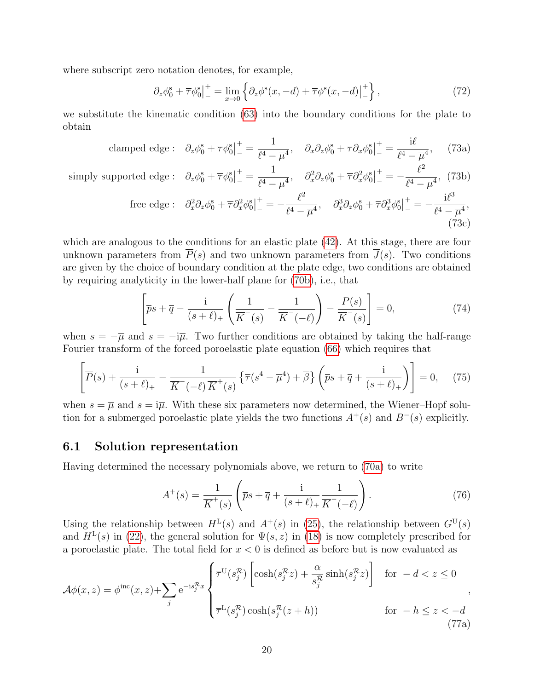where subscript zero notation denotes, for example,

$$
\partial_z \phi_0^s + \overline{\tau} \phi_0^s \Big|_{-}^+ = \lim_{x \to 0} \left\{ \partial_z \phi^s(x, -d) + \overline{\tau} \phi^s(x, -d) \Big|_{-}^+ \right\},\tag{72}
$$

we substitute the kinematic condition [\(63\)](#page-15-1) into the boundary conditions for the plate to obtain

clamped edge: 
$$
\partial_z \phi_0^s + \overline{\tau} \phi_0^s \vert_-^+ = \frac{1}{\ell^4 - \overline{\mu}^4}, \quad \partial_x \partial_z \phi_0^s + \overline{\tau} \partial_x \phi_0^s \vert_-^+ = \frac{i\ell}{\ell^4 - \overline{\mu}^4}, \quad (73a)
$$

simply supported edge : 
$$
\partial_z \phi_0^s + \overline{\tau} \phi_0^s \Big|_{-}^{+} = \frac{1}{\ell^4 - \overline{\mu}^4}, \quad \partial_x^2 \partial_z \phi_0^s + \overline{\tau} \partial_x^2 \phi_0^s \Big|_{-}^{+} = -\frac{\ell^2}{\ell^4 - \overline{\mu}^4}, \quad (73b)
$$

free edge : 
$$
\partial_x^2 \partial_z \phi_0^s + \overline{\tau} \partial_x^2 \phi_0^s \Big|_{-}^{+} = -\frac{\ell^2}{\ell^4 - \overline{\mu}^4}, \quad \partial_x^3 \partial_z \phi_0^s + \overline{\tau} \partial_x^3 \phi_0^s \Big|_{-}^{+} = -\frac{i\ell^3}{\ell^4 - \overline{\mu}^4},
$$
 (73c)

which are analogous to the conditions for an elastic plate [\(42\)](#page-10-2). At this stage, there are four unknown parameters from  $\overline{P}(s)$  and two unknown parameters from  $\overline{J}(s)$ . Two conditions are given by the choice of boundary condition at the plate edge, two conditions are obtained by requiring analyticity in the lower-half plane for [\(70b\)](#page-18-1), i.e., that

$$
\left[\overline{p}s + \overline{q} - \frac{i}{(s+\ell)_+} \left( \frac{1}{\overline{K}^-(s)} - \frac{1}{\overline{K}^-(-\ell)} \right) - \frac{\overline{P}(s)}{\overline{K}^-(s)} \right] = 0, \tag{74}
$$

when  $s = -\overline{\mu}$  and  $s = -i\overline{\mu}$ . Two further conditions are obtained by taking the half-range Fourier transform of the forced poroelastic plate equation [\(66\)](#page-18-2) which requires that

$$
\left[\overline{P}(s) + \frac{\mathrm{i}}{(s+\ell)_+} - \frac{1}{\overline{K}^-(\ell)\,\overline{K}^+(s)}\left\{\overline{\tau}(s^4-\overline{\mu}^4) + \overline{\beta}\right\}\left(\overline{ps} + \overline{q} + \frac{\mathrm{i}}{(s+\ell)_+}\right)\right] = 0,\tag{75}
$$

when  $s = \overline{\mu}$  and  $s = i\overline{\mu}$ . With these six parameters now determined, the Wiener–Hopf solution for a submerged poroelastic plate yields the two functions  $A^+(s)$  and  $B^-(s)$  explicitly.

#### 6.1 Solution representation

Having determined the necessary polynomials above, we return to [\(70a\)](#page-18-3) to write

$$
A^{+}(s) = \frac{1}{\overline{K}^{+}(s)} \left( \overline{p}s + \overline{q} + \frac{i}{(s+\ell)_{+}} \frac{1}{\overline{K}^{-}(-\ell)} \right). \tag{76}
$$

Using the relationship between  $H^L(s)$  and  $A^+(s)$  in [\(25\)](#page-6-1), the relationship between  $G^U(s)$ and  $H^{\text{L}}(s)$  in [\(22\)](#page-6-4), the general solution for  $\Psi(s, z)$  in [\(18\)](#page-5-5) is now completely prescribed for a poroelastic plate. The total field for  $x < 0$  is defined as before but is now evaluated as

$$
\mathcal{A}\phi(x,z) = \phi^{\rm inc}(x,z) + \sum_{j} e^{-is_j^{\mathcal{R}}x} \begin{cases} \overline{\tau}^{\rm U}(s_j^{\mathcal{R}}) \left[ \cosh(s_j^{\mathcal{R}}z) + \frac{\alpha}{s_j^{\mathcal{R}}} \sinh(s_j^{\mathcal{R}}z) \right] & \text{for } -d < z \le 0 \\ \overline{\tau}^{\rm L}(s_j^{\mathcal{R}}) \cosh(s_j^{\mathcal{R}}(z+h)) & \text{for } -h \le z < -d \end{cases} \tag{77a}
$$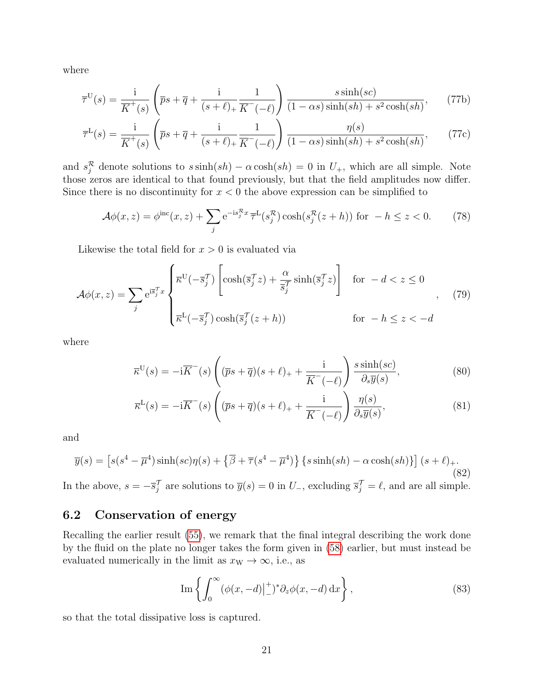where

$$
\overline{\tau}^{\mathcal{U}}(s) = \frac{\mathbf{i}}{\overline{K}^+(s)} \left( \overline{p}s + \overline{q} + \frac{\mathbf{i}}{(s+\ell)_+} \frac{1}{\overline{K}^-(-\ell)} \right) \frac{s \sinh(sc)}{(1-\alpha s) \sinh(sh) + s^2 \cosh(sh)},\tag{77b}
$$

$$
\overline{\tau}^{\mathcal{L}}(s) = \frac{\mathrm{i}}{\overline{K}^+(s)} \left( \overline{p}s + \overline{q} + \frac{\mathrm{i}}{(s+\ell)_+} \frac{1}{\overline{K}^-(-\ell)} \right) \frac{\eta(s)}{(1-\alpha s)\sinh(sh) + s^2 \cosh(sh)},\tag{77c}
$$

and  $s_j^{\mathcal{R}}$  denote solutions to  $s \sinh(sh) - \alpha \cosh(sh) = 0$  in  $U_+$ , which are all simple. Note those zeros are identical to that found previously, but that the field amplitudes now differ. Since there is no discontinuity for  $x < 0$  the above expression can be simplified to

$$
\mathcal{A}\phi(x,z) = \phi^{\text{inc}}(x,z) + \sum_{j} e^{-is_j^{\mathcal{R}}x} \overline{\tau}^{\mathcal{L}}(s_j^{\mathcal{R}}) \cosh(s_j^{\mathcal{R}}(z+h)) \text{ for } -h \le z < 0. \tag{78}
$$

Likewise the total field for  $x > 0$  is evaluated via

$$
\mathcal{A}\phi(x,z) = \sum_{j} e^{i\overline{s}_{j}^{T}x} \begin{cases} \overline{\kappa}^{U}(-\overline{s}_{j}^{T}) \left[ \cosh(\overline{s}_{j}^{T}z) + \frac{\alpha}{\overline{s}_{j}^{T}} \sinh(\overline{s}_{j}^{T}z) \right] & \text{for } -d < z \le 0\\ \overline{\kappa}^{L}(-\overline{s}_{j}^{T}) \cosh(\overline{s}_{j}^{T}(z+h)) & \text{for } -h \le z < -d \end{cases}, \quad (79)
$$

where

$$
\overline{\kappa}^{\mathcal{U}}(s) = -i\overline{K}^-(s)\left((\overline{p}s + \overline{q})(s + \ell)_+ + \frac{i}{\overline{K}^-(\ell)}\right)\frac{s\sinh(sc)}{\partial_s\overline{y}(s)},\tag{80}
$$

$$
\overline{\kappa}^{\mathcal{L}}(s) = -i\overline{K}^-(s)\left( (\overline{p}s + \overline{q})(s+\ell)_{+} + \frac{i}{\overline{K}^-(-\ell)} \right) \frac{\eta(s)}{\partial_s \overline{y}(s)},\tag{81}
$$

and

$$
\overline{y}(s) = \left[ s(s^4 - \overline{\mu}^4) \sinh(sc)\eta(s) + \left\{ \overline{\beta} + \overline{\tau}(s^4 - \overline{\mu}^4) \right\} \left\{ s \sinh(sh) - \alpha \cosh(sh) \right\} \right] (s + \ell)_+.
$$
\n(82)

In the above,  $s = -\overline{s}_j^{\mathcal{T}}$  are solutions to  $\overline{y}(s) = 0$  in  $U_{-}$ , excluding  $\overline{s}_j^{\mathcal{T}} = \ell$ , and are all simple.

#### 6.2 Conservation of energy

Recalling the earlier result [\(55\)](#page-12-0), we remark that the final integral describing the work done by the fluid on the plate no longer takes the form given in [\(58\)](#page-13-3) earlier, but must instead be evaluated numerically in the limit as  $x_{W} \to \infty$ , i.e., as

$$
\operatorname{Im}\left\{\int_0^\infty (\phi(x, -d)|_{-}^+)^* \partial_z \phi(x, -d) \, \mathrm{d}x\right\},\tag{83}
$$

so that the total dissipative loss is captured.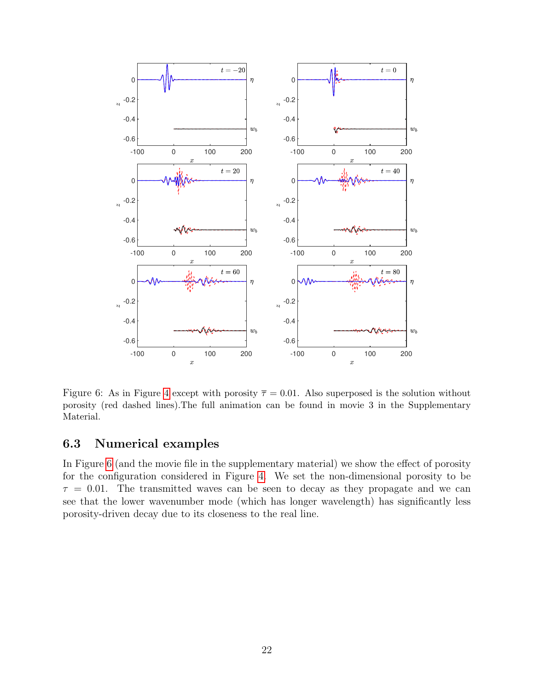

<span id="page-21-0"></span>Figure 6: As in Figure [4](#page-16-0) except with porosity  $\overline{\tau} = 0.01$ . Also superposed is the solution without porosity (red dashed lines).The full animation can be found in movie 3 in the Supplementary Material.

### 6.3 Numerical examples

In Figure [6](#page-21-0) (and the movie file in the supplementary material) we show the effect of porosity for the configuration considered in Figure [4.](#page-16-0) We set the non-dimensional porosity to be  $\tau = 0.01$ . The transmitted waves can be seen to decay as they propagate and we can see that the lower wavenumber mode (which has longer wavelength) has significantly less porosity-driven decay due to its closeness to the real line.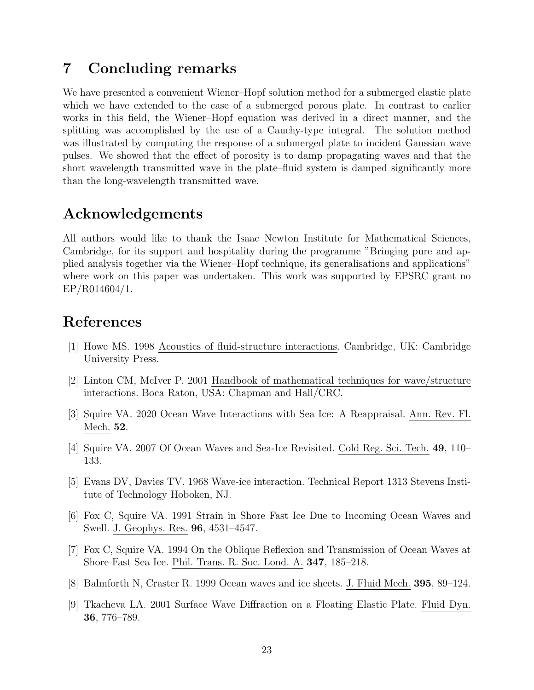## <span id="page-22-9"></span>7 Concluding remarks

We have presented a convenient Wiener–Hopf solution method for a submerged elastic plate which we have extended to the case of a submerged porous plate. In contrast to earlier works in this field, the Wiener–Hopf equation was derived in a direct manner, and the splitting was accomplished by the use of a Cauchy-type integral. The solution method was illustrated by computing the response of a submerged plate to incident Gaussian wave pulses. We showed that the effect of porosity is to damp propagating waves and that the short wavelength transmitted wave in the plate–fluid system is damped significantly more than the long-wavelength transmitted wave.

### Acknowledgements

All authors would like to thank the Isaac Newton Institute for Mathematical Sciences, Cambridge, for its support and hospitality during the programme "Bringing pure and applied analysis together via the Wiener–Hopf technique, its generalisations and applications" where work on this paper was undertaken. This work was supported by EPSRC grant no EP/R014604/1.

## References

- <span id="page-22-0"></span>[1] Howe MS. 1998 Acoustics of fluid-structure interactions. Cambridge, UK: Cambridge University Press.
- <span id="page-22-1"></span>[2] Linton CM, McIver P. 2001 Handbook of mathematical techniques for wave/structure interactions. Boca Raton, USA: Chapman and Hall/CRC.
- <span id="page-22-2"></span>[3] Squire VA. 2020 Ocean Wave Interactions with Sea Ice: A Reappraisal. Ann. Rev. Fl. Mech. 52.
- <span id="page-22-3"></span>[4] Squire VA. 2007 Of Ocean Waves and Sea-Ice Revisited. Cold Reg. Sci. Tech. 49, 110– 133.
- <span id="page-22-4"></span>[5] Evans DV, Davies TV. 1968 Wave-ice interaction. Technical Report 1313 Stevens Institute of Technology Hoboken, NJ.
- <span id="page-22-5"></span>[6] Fox C, Squire VA. 1991 Strain in Shore Fast Ice Due to Incoming Ocean Waves and Swell. J. Geophys. Res. 96, 4531–4547.
- <span id="page-22-6"></span>[7] Fox C, Squire VA. 1994 On the Oblique Reflexion and Transmission of Ocean Waves at Shore Fast Sea Ice. Phil. Trans. R. Soc. Lond. A. 347, 185–218.
- <span id="page-22-7"></span>[8] Balmforth N, Craster R. 1999 Ocean waves and ice sheets. J. Fluid Mech. 395, 89–124.
- <span id="page-22-8"></span>[9] Tkacheva LA. 2001 Surface Wave Diffraction on a Floating Elastic Plate. Fluid Dyn. 36, 776–789.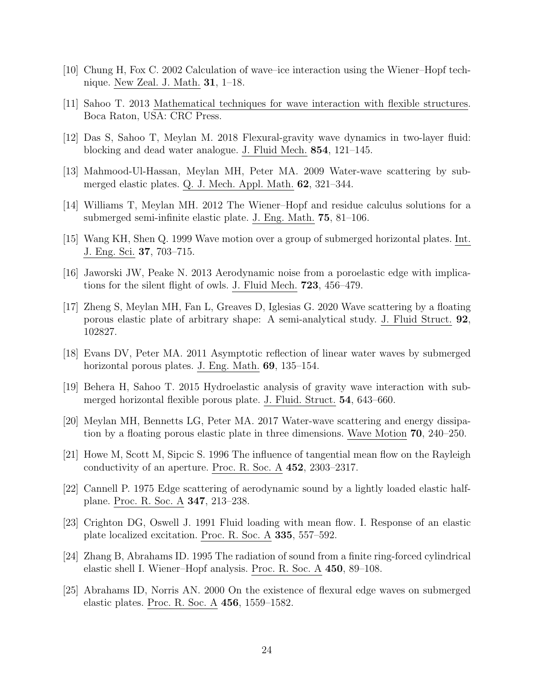- <span id="page-23-0"></span>[10] Chung H, Fox C. 2002 Calculation of wave–ice interaction using the Wiener–Hopf technique. New Zeal. J. Math. 31, 1–18.
- <span id="page-23-1"></span>[11] Sahoo T. 2013 Mathematical techniques for wave interaction with flexible structures. Boca Raton, USA: CRC Press.
- <span id="page-23-2"></span>[12] Das S, Sahoo T, Meylan M. 2018 Flexural-gravity wave dynamics in two-layer fluid: blocking and dead water analogue. J. Fluid Mech. 854, 121–145.
- <span id="page-23-3"></span>[13] Mahmood-Ul-Hassan, Meylan MH, Peter MA. 2009 Water-wave scattering by submerged elastic plates. Q. J. Mech. Appl. Math. 62, 321–344.
- <span id="page-23-4"></span>[14] Williams T, Meylan MH. 2012 The Wiener–Hopf and residue calculus solutions for a submerged semi-infinite elastic plate. J. Eng. Math. 75, 81–106.
- <span id="page-23-5"></span>[15] Wang KH, Shen Q. 1999 Wave motion over a group of submerged horizontal plates. Int. J. Eng. Sci. 37, 703–715.
- <span id="page-23-6"></span>[16] Jaworski JW, Peake N. 2013 Aerodynamic noise from a poroelastic edge with implications for the silent flight of owls. J. Fluid Mech. 723, 456–479.
- <span id="page-23-7"></span>[17] Zheng S, Meylan MH, Fan L, Greaves D, Iglesias G. 2020 Wave scattering by a floating porous elastic plate of arbitrary shape: A semi-analytical study. J. Fluid Struct. 92, 102827.
- <span id="page-23-8"></span>[18] Evans DV, Peter MA. 2011 Asymptotic reflection of linear water waves by submerged horizontal porous plates. J. Eng. Math. **69**, 135–154.
- <span id="page-23-9"></span>[19] Behera H, Sahoo T. 2015 Hydroelastic analysis of gravity wave interaction with submerged horizontal flexible porous plate. J. Fluid. Struct. 54, 643–660.
- <span id="page-23-10"></span>[20] Meylan MH, Bennetts LG, Peter MA. 2017 Water-wave scattering and energy dissipation by a floating porous elastic plate in three dimensions. Wave Motion 70, 240–250.
- <span id="page-23-11"></span>[21] Howe M, Scott M, Sipcic S. 1996 The influence of tangential mean flow on the Rayleigh conductivity of an aperture. Proc. R. Soc. A 452, 2303–2317.
- <span id="page-23-12"></span>[22] Cannell P. 1975 Edge scattering of aerodynamic sound by a lightly loaded elastic halfplane. Proc. R. Soc. A 347, 213–238.
- <span id="page-23-13"></span>[23] Crighton DG, Oswell J. 1991 Fluid loading with mean flow. I. Response of an elastic plate localized excitation. Proc. R. Soc. A 335, 557–592.
- <span id="page-23-14"></span>[24] Zhang B, Abrahams ID. 1995 The radiation of sound from a finite ring-forced cylindrical elastic shell I. Wiener–Hopf analysis. Proc. R. Soc. A 450, 89–108.
- <span id="page-23-15"></span>[25] Abrahams ID, Norris AN. 2000 On the existence of flexural edge waves on submerged elastic plates. Proc. R. Soc. A 456, 1559–1582.